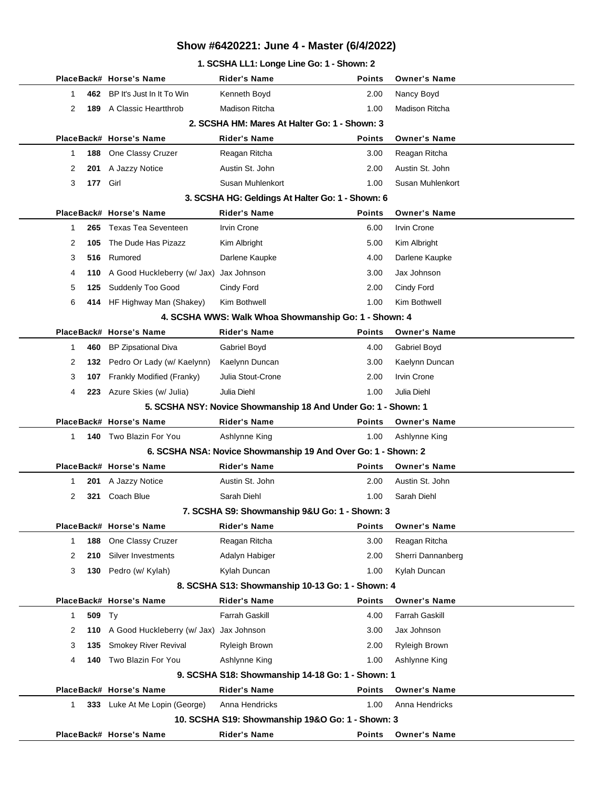#### **1. SCSHA LL1: Longe Line Go: 1 - Shown: 2**

|              |          | PlaceBack# Horse's Name                 | Rider's Name                                                   | <b>Points</b> | <b>Owner's Name</b>   |
|--------------|----------|-----------------------------------------|----------------------------------------------------------------|---------------|-----------------------|
| 1            |          | 462 BP It's Just In It To Win           | Kenneth Boyd                                                   | 2.00          | Nancy Boyd            |
| 2            | 189      | A Classic Heartthrob                    | <b>Madison Ritcha</b>                                          | 1.00          | <b>Madison Ritcha</b> |
|              |          |                                         | 2. SCSHA HM: Mares At Halter Go: 1 - Shown: 3                  |               |                       |
|              |          | PlaceBack# Horse's Name                 | <b>Rider's Name</b>                                            | <b>Points</b> | <b>Owner's Name</b>   |
| 1            | 188      | One Classy Cruzer                       | Reagan Ritcha                                                  | 3.00          | Reagan Ritcha         |
| 2            | 201      | A Jazzy Notice                          | Austin St. John                                                | 2.00          | Austin St. John       |
| 3            | 177 Girl |                                         | Susan Muhlenkort                                               | 1.00          | Susan Muhlenkort      |
|              |          |                                         | 3. SCSHA HG: Geldings At Halter Go: 1 - Shown: 6               |               |                       |
|              |          | PlaceBack# Horse's Name                 | <b>Rider's Name</b>                                            | <b>Points</b> | <b>Owner's Name</b>   |
| 1            | 265      | <b>Texas Tea Seventeen</b>              | <b>Irvin Crone</b>                                             | 6.00          | <b>Irvin Crone</b>    |
| 2            | 105      | The Dude Has Pizazz                     | Kim Albright                                                   | 5.00          | Kim Albright          |
| 3            | 516      | Rumored                                 | Darlene Kaupke                                                 | 4.00          | Darlene Kaupke        |
| 4            | 110      | A Good Huckleberry (w/ Jax)             | Jax Johnson                                                    | 3.00          | Jax Johnson           |
| 5            | 125      | Suddenly Too Good                       | Cindy Ford                                                     | 2.00          | Cindy Ford            |
| 6            |          | 414 HF Highway Man (Shakey)             | Kim Bothwell                                                   | 1.00          | Kim Bothwell          |
|              |          |                                         | 4. SCSHA WWS: Walk Whoa Showmanship Go: 1 - Shown: 4           |               |                       |
|              |          | PlaceBack# Horse's Name                 | <b>Rider's Name</b>                                            | <b>Points</b> | <b>Owner's Name</b>   |
| $\mathbf 1$  | 460      | <b>BP Zipsational Diva</b>              | Gabriel Boyd                                                   | 4.00          | Gabriel Boyd          |
| 2            |          | 132 Pedro Or Lady (w/ Kaelynn)          | Kaelynn Duncan                                                 | 3.00          | Kaelynn Duncan        |
| 3            | 107      | Frankly Modified (Franky)               | Julia Stout-Crone                                              | 2.00          | <b>Irvin Crone</b>    |
| 4            |          | 223 Azure Skies (w/ Julia)              | Julia Diehl                                                    | 1.00          | Julia Diehl           |
|              |          |                                         | 5. SCSHA NSY: Novice Showmanship 18 And Under Go: 1 - Shown: 1 |               |                       |
|              |          | PlaceBack# Horse's Name                 | <b>Rider's Name</b>                                            | <b>Points</b> | <b>Owner's Name</b>   |
| $\mathbf{1}$ |          | 140 Two Blazin For You                  | Ashlynne King                                                  | 1.00          | Ashlynne King         |
|              |          |                                         | 6. SCSHA NSA: Novice Showmanship 19 And Over Go: 1 - Shown: 2  |               |                       |
|              |          | PlaceBack# Horse's Name                 | <b>Rider's Name</b>                                            | <b>Points</b> | <b>Owner's Name</b>   |
| 1            | 201      | A Jazzy Notice                          | Austin St. John                                                | 2.00          | Austin St. John       |
| 2            | 321      | Coach Blue                              | Sarah Diehl                                                    | 1.00          | Sarah Diehl           |
|              |          |                                         | 7. SCSHA S9: Showmanship 9&U Go: 1 - Shown: 3                  |               |                       |
|              |          | PlaceBack# Horse's Name                 | <b>Rider's Name</b>                                            | <b>Points</b> | <b>Owner's Name</b>   |
| $\mathbf{1}$ | 188      | One Classy Cruzer                       | Reagan Ritcha                                                  | 3.00          | Reagan Ritcha         |
| 2            | 210      | Silver Investments                      | Adalyn Habiger                                                 | 2.00          | Sherri Dannanberg     |
| 3            |          | 130 Pedro (w/ Kylah)                    | Kylah Duncan                                                   | 1.00          | Kylah Duncan          |
|              |          |                                         | 8. SCSHA S13: Showmanship 10-13 Go: 1 - Shown: 4               |               |                       |
|              |          | PlaceBack# Horse's Name                 | <b>Rider's Name</b>                                            | <b>Points</b> | <b>Owner's Name</b>   |
| $\mathbf{1}$ | 509      | Ty                                      | Farrah Gaskill                                                 | 4.00          | Farrah Gaskill        |
| 2            | 110      | A Good Huckleberry (w/ Jax) Jax Johnson |                                                                | 3.00          | Jax Johnson           |
| 3            | 135      | <b>Smokey River Revival</b>             | Ryleigh Brown                                                  | 2.00          | Ryleigh Brown         |
| 4            | 140      | Two Blazin For You                      | Ashlynne King                                                  | 1.00          | Ashlynne King         |
|              |          |                                         | 9. SCSHA S18: Showmanship 14-18 Go: 1 - Shown: 1               |               |                       |
|              |          | PlaceBack# Horse's Name                 | <b>Rider's Name</b>                                            | Points        | <b>Owner's Name</b>   |
| $\mathbf{1}$ |          | 333 Luke At Me Lopin (George)           | Anna Hendricks                                                 | 1.00          | Anna Hendricks        |
|              |          |                                         | 10. SCSHA S19: Showmanship 19&O Go: 1 - Shown: 3               |               |                       |
|              |          | PlaceBack# Horse's Name                 | <b>Rider's Name</b>                                            | <b>Points</b> | <b>Owner's Name</b>   |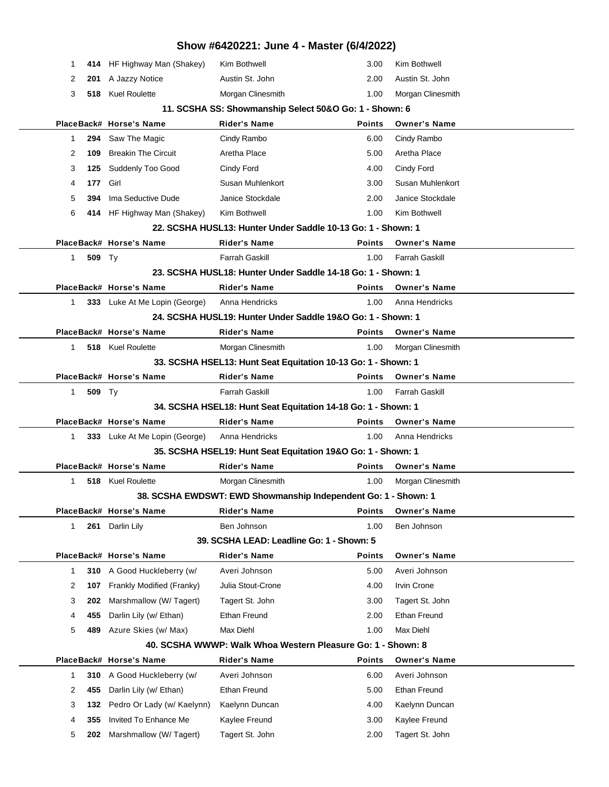|             |        |                               | Show #6420221: June 4 - Master (6/4/2022)                      |               |                       |  |
|-------------|--------|-------------------------------|----------------------------------------------------------------|---------------|-----------------------|--|
| 1           |        | 414 HF Highway Man (Shakey)   | Kim Bothwell                                                   | 3.00          | Kim Bothwell          |  |
| 2           | 201    | A Jazzy Notice                | Austin St. John                                                | 2.00          | Austin St. John       |  |
| 3           |        | 518 Kuel Roulette             | Morgan Clinesmith                                              | 1.00          | Morgan Clinesmith     |  |
|             |        |                               | 11. SCSHA SS: Showmanship Select 50&O Go: 1 - Shown: 6         |               |                       |  |
|             |        | PlaceBack# Horse's Name       | <b>Rider's Name</b>                                            | <b>Points</b> | <b>Owner's Name</b>   |  |
| 1           | 294    | Saw The Magic                 | Cindy Rambo                                                    | 6.00          | Cindy Rambo           |  |
| 2           | 109    | <b>Breakin The Circuit</b>    | Aretha Place                                                   | 5.00          | Aretha Place          |  |
| 3           | 125    | Suddenly Too Good             | Cindy Ford                                                     | 4.00          | Cindy Ford            |  |
| 4           | 177    | Girl                          | Susan Muhlenkort                                               | 3.00          | Susan Muhlenkort      |  |
| 5           | 394    | Ima Seductive Dude            | Janice Stockdale                                               | 2.00          | Janice Stockdale      |  |
| 6           |        | 414 HF Highway Man (Shakey)   | Kim Bothwell                                                   | 1.00          | Kim Bothwell          |  |
|             |        |                               | 22. SCSHA HUSL13: Hunter Under Saddle 10-13 Go: 1 - Shown: 1   |               |                       |  |
|             |        | PlaceBack# Horse's Name       | <b>Rider's Name</b>                                            | <b>Points</b> | <b>Owner's Name</b>   |  |
| 1           | 509 Ty |                               | Farrah Gaskill                                                 | 1.00          | <b>Farrah Gaskill</b> |  |
|             |        |                               | 23. SCSHA HUSL18: Hunter Under Saddle 14-18 Go: 1 - Shown: 1   |               |                       |  |
|             |        | PlaceBack# Horse's Name       | <b>Rider's Name</b>                                            | <b>Points</b> | <b>Owner's Name</b>   |  |
| 1           |        | 333 Luke At Me Lopin (George) | Anna Hendricks                                                 | 1.00          | Anna Hendricks        |  |
|             |        |                               | 24. SCSHA HUSL19: Hunter Under Saddle 19&O Go: 1 - Shown: 1    |               |                       |  |
|             |        | PlaceBack# Horse's Name       | <b>Rider's Name</b>                                            | <b>Points</b> | <b>Owner's Name</b>   |  |
| 1           |        | 518 Kuel Roulette             | Morgan Clinesmith                                              | 1.00          | Morgan Clinesmith     |  |
|             |        |                               | 33. SCSHA HSEL13: Hunt Seat Equitation 10-13 Go: 1 - Shown: 1  |               |                       |  |
|             |        | PlaceBack# Horse's Name       | <b>Rider's Name</b>                                            | <b>Points</b> | <b>Owner's Name</b>   |  |
| 1           | 509 Ty |                               | <b>Farrah Gaskill</b>                                          | 1.00          | <b>Farrah Gaskill</b> |  |
|             |        |                               | 34. SCSHA HSEL18: Hunt Seat Equitation 14-18 Go: 1 - Shown: 1  |               |                       |  |
|             |        | PlaceBack# Horse's Name       | <b>Rider's Name</b>                                            | <b>Points</b> | <b>Owner's Name</b>   |  |
| 1           |        | 333 Luke At Me Lopin (George) | Anna Hendricks                                                 | 1.00          | Anna Hendricks        |  |
|             |        |                               | 35. SCSHA HSEL19: Hunt Seat Equitation 19&O Go: 1 - Shown: 1   |               |                       |  |
|             |        | PlaceBack# Horse's Name       | <b>Rider's Name</b>                                            | <b>Points</b> | <b>Owner's Name</b>   |  |
| 1           |        | 518 Kuel Roulette             | Morgan Clinesmith                                              | 1.00          | Morgan Clinesmith     |  |
|             |        |                               | 38. SCSHA EWDSWT: EWD Showmanship Independent Go: 1 - Shown: 1 |               |                       |  |
|             |        | PlaceBack# Horse's Name       | <b>Rider's Name</b>                                            | <b>Points</b> | <b>Owner's Name</b>   |  |
| 1           | 261    | Darlin Lily                   | Ben Johnson                                                    | 1.00          | Ben Johnson           |  |
|             |        |                               | 39. SCSHA LEAD: Leadline Go: 1 - Shown: 5                      |               |                       |  |
|             |        | PlaceBack# Horse's Name       | <b>Rider's Name</b>                                            | <b>Points</b> | <b>Owner's Name</b>   |  |
| $\mathbf 1$ | 310    | A Good Huckleberry (w/        | Averi Johnson                                                  | 5.00          | Averi Johnson         |  |
| 2           | 107    | Frankly Modified (Franky)     | Julia Stout-Crone                                              | 4.00          | <b>Irvin Crone</b>    |  |
| 3           | 202    | Marshmallow (W/ Tagert)       | Tagert St. John                                                | 3.00          | Tagert St. John       |  |
| 4           | 455    | Darlin Lily (w/ Ethan)        | Ethan Freund                                                   | 2.00          | Ethan Freund          |  |
| 5           | 489    | Azure Skies (w/ Max)          | Max Diehl                                                      | 1.00          | Max Diehl             |  |
|             |        |                               | 40. SCSHA WWWP: Walk Whoa Western Pleasure Go: 1 - Shown: 8    |               |                       |  |
|             |        | PlaceBack# Horse's Name       | <b>Rider's Name</b>                                            | <b>Points</b> | <b>Owner's Name</b>   |  |
| 1           | 310    | A Good Huckleberry (w/        | Averi Johnson                                                  | 6.00          | Averi Johnson         |  |
| 2           | 455    | Darlin Lily (w/ Ethan)        | Ethan Freund                                                   | 5.00          | Ethan Freund          |  |
| 3           | 132    | Pedro Or Lady (w/ Kaelynn)    | Kaelynn Duncan                                                 | 4.00          | Kaelynn Duncan        |  |
| 4           | 355    | Invited To Enhance Me         | Kaylee Freund                                                  | 3.00          | Kaylee Freund         |  |
| 5           | 202    | Marshmallow (W/Tagert)        | Tagert St. John                                                | 2.00          | Tagert St. John       |  |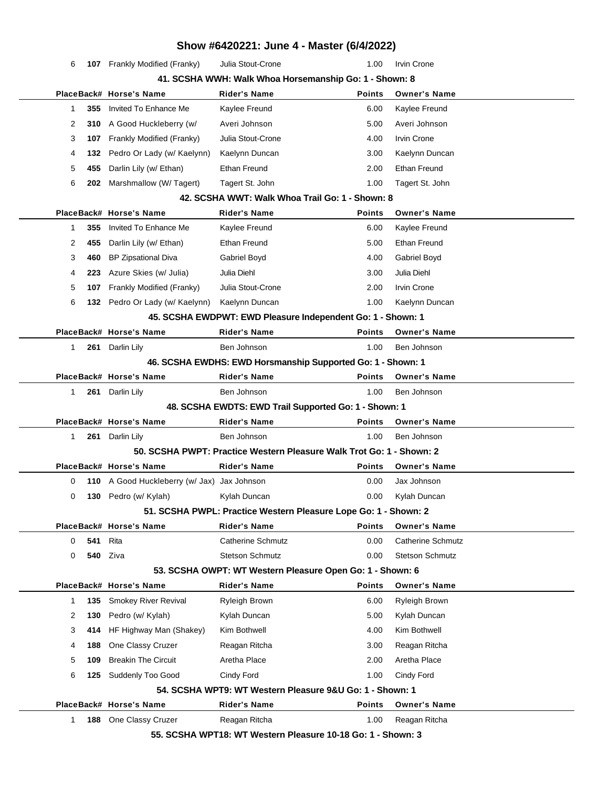|              |     |                                             | Show #6420221: June 4 - Master (6/4/2022)                            |               |                          |  |
|--------------|-----|---------------------------------------------|----------------------------------------------------------------------|---------------|--------------------------|--|
| 6            |     | <b>107</b> Frankly Modified (Franky)        | Julia Stout-Crone                                                    | 1.00          | <b>Irvin Crone</b>       |  |
|              |     |                                             | 41. SCSHA WWH: Walk Whoa Horsemanship Go: 1 - Shown: 8               |               |                          |  |
|              |     | PlaceBack# Horse's Name                     | <b>Rider's Name</b>                                                  | <b>Points</b> | <b>Owner's Name</b>      |  |
| 1.           | 355 | Invited To Enhance Me                       | Kaylee Freund                                                        | 6.00          | Kaylee Freund            |  |
| 2            | 310 | A Good Huckleberry (w/                      | Averi Johnson                                                        | 5.00          | Averi Johnson            |  |
| 3            | 107 | Frankly Modified (Franky)                   | Julia Stout-Crone                                                    | 4.00          | <b>Irvin Crone</b>       |  |
| 4            | 132 | Pedro Or Lady (w/ Kaelynn)                  | Kaelynn Duncan                                                       | 3.00          | Kaelynn Duncan           |  |
| 5            | 455 | Darlin Lily (w/ Ethan)                      | <b>Ethan Freund</b>                                                  | 2.00          | Ethan Freund             |  |
| 6            | 202 | Marshmallow (W/Tagert)                      | Tagert St. John                                                      | 1.00          | Tagert St. John          |  |
|              |     |                                             | 42. SCSHA WWT: Walk Whoa Trail Go: 1 - Shown: 8                      |               |                          |  |
|              |     | PlaceBack# Horse's Name                     | <b>Rider's Name</b>                                                  | <b>Points</b> | <b>Owner's Name</b>      |  |
| 1            | 355 | Invited To Enhance Me                       | Kaylee Freund                                                        | 6.00          | Kaylee Freund            |  |
| 2            | 455 | Darlin Lily (w/ Ethan)                      | Ethan Freund                                                         | 5.00          | <b>Ethan Freund</b>      |  |
| 3            | 460 | <b>BP Zipsational Diva</b>                  | Gabriel Boyd                                                         | 4.00          | Gabriel Boyd             |  |
| 4            | 223 | Azure Skies (w/ Julia)                      | Julia Diehl                                                          | 3.00          | Julia Diehl              |  |
| 5            | 107 | Frankly Modified (Franky)                   | Julia Stout-Crone                                                    | 2.00          | <b>Irvin Crone</b>       |  |
| 6            |     | 132 Pedro Or Lady (w/ Kaelynn)              | Kaelynn Duncan                                                       | 1.00          | Kaelynn Duncan           |  |
|              |     |                                             | 45. SCSHA EWDPWT: EWD Pleasure Independent Go: 1 - Shown: 1          |               |                          |  |
|              |     | PlaceBack# Horse's Name                     | <b>Rider's Name</b>                                                  | <b>Points</b> | <b>Owner's Name</b>      |  |
| 1            |     | 261 Darlin Lily                             | Ben Johnson                                                          | 1.00          | Ben Johnson              |  |
|              |     |                                             | 46. SCSHA EWDHS: EWD Horsmanship Supported Go: 1 - Shown: 1          |               |                          |  |
|              |     | PlaceBack# Horse's Name                     | <b>Rider's Name</b>                                                  | <b>Points</b> | <b>Owner's Name</b>      |  |
| 1            |     | 261 Darlin Lily                             | Ben Johnson                                                          | 1.00          | Ben Johnson              |  |
|              |     |                                             | 48. SCSHA EWDTS: EWD Trail Supported Go: 1 - Shown: 1                |               |                          |  |
|              |     | PlaceBack# Horse's Name                     | <b>Rider's Name</b>                                                  | <b>Points</b> | <b>Owner's Name</b>      |  |
| $\mathbf{1}$ | 261 | Darlin Lily                                 | Ben Johnson                                                          | 1.00          | Ben Johnson              |  |
|              |     |                                             | 50. SCSHA PWPT: Practice Western Pleasure Walk Trot Go: 1 - Shown: 2 |               |                          |  |
|              |     | PlaceBack# Horse's Name                     | <b>Rider's Name</b>                                                  | <b>Points</b> | <b>Owner's Name</b>      |  |
| 0            |     | 110 A Good Huckleberry (w/ Jax) Jax Johnson |                                                                      | 0.00          | Jax Johnson              |  |
| 0            |     | 130 Pedro (w/ Kylah)                        | Kylah Duncan                                                         | 0.00          | Kylah Duncan             |  |
|              |     |                                             | 51. SCSHA PWPL: Practice Western Pleasure Lope Go: 1 - Shown: 2      |               |                          |  |
|              |     | PlaceBack# Horse's Name                     | <b>Rider's Name</b>                                                  | <b>Points</b> | <b>Owner's Name</b>      |  |
| 0            | 541 | Rita                                        | Catherine Schmutz                                                    | 0.00          | <b>Catherine Schmutz</b> |  |
| 0            | 540 | Ziva                                        | <b>Stetson Schmutz</b>                                               | 0.00          | <b>Stetson Schmutz</b>   |  |
|              |     |                                             | 53. SCSHA OWPT: WT Western Pleasure Open Go: 1 - Shown: 6            |               |                          |  |
|              |     | PlaceBack# Horse's Name                     | <b>Rider's Name</b>                                                  | <b>Points</b> | <b>Owner's Name</b>      |  |
| 1            | 135 | Smokey River Revival                        | <b>Ryleigh Brown</b>                                                 | 6.00          | Ryleigh Brown            |  |
| 2            | 130 | Pedro (w/ Kylah)                            | Kylah Duncan                                                         | 5.00          | Kylah Duncan             |  |
| 3            | 414 | HF Highway Man (Shakey)                     | Kim Bothwell                                                         | 4.00          | Kim Bothwell             |  |
| 4            | 188 | One Classy Cruzer                           | Reagan Ritcha                                                        | 3.00          | Reagan Ritcha            |  |
| 5            | 109 | <b>Breakin The Circuit</b>                  | Aretha Place                                                         | 2.00          | Aretha Place             |  |
| 6            | 125 | Suddenly Too Good                           | Cindy Ford                                                           | 1.00          | Cindy Ford               |  |
|              |     |                                             | 54. SCSHA WPT9: WT Western Pleasure 9&U Go: 1 - Shown: 1             |               |                          |  |
|              |     | PlaceBack# Horse's Name                     | <b>Rider's Name</b>                                                  | <b>Points</b> | <b>Owner's Name</b>      |  |
| 1.           | 188 | One Classy Cruzer                           | Reagan Ritcha                                                        | 1.00          | Reagan Ritcha            |  |
|              |     |                                             | 55. SCSHA WPT18: WT Western Pleasure 10-18 Go: 1 - Shown: 3          |               |                          |  |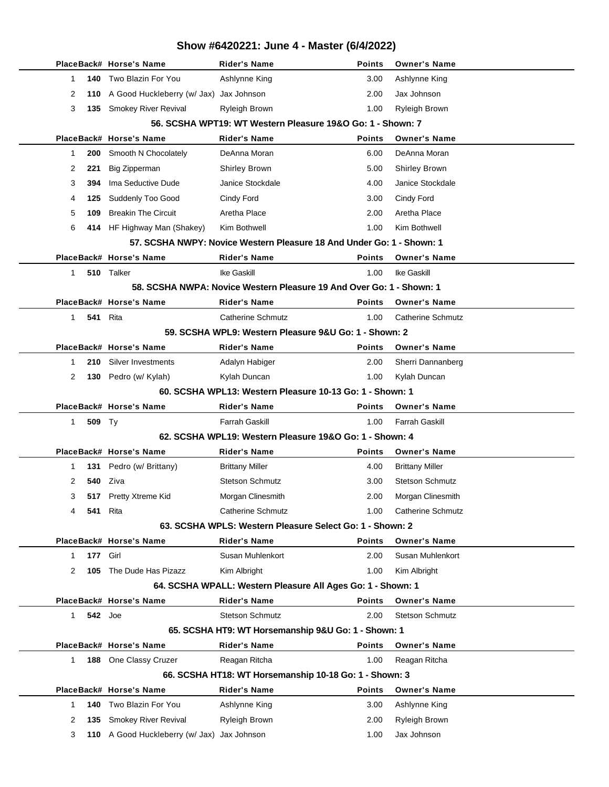|              |                 | PlaceBack# Horse's Name                     | <b>Rider's Name</b>                                                   | <b>Points</b> | <b>Owner's Name</b>      |
|--------------|-----------------|---------------------------------------------|-----------------------------------------------------------------------|---------------|--------------------------|
| 1            | 140             | Two Blazin For You                          | Ashlynne King                                                         | 3.00          | Ashlynne King            |
| 2            |                 | 110 A Good Huckleberry (w/ Jax) Jax Johnson |                                                                       | 2.00          | Jax Johnson              |
| 3            |                 | 135 Smokey River Revival                    | Ryleigh Brown                                                         | 1.00          | <b>Ryleigh Brown</b>     |
|              |                 |                                             | 56. SCSHA WPT19: WT Western Pleasure 19&O Go: 1 - Shown: 7            |               |                          |
|              |                 | PlaceBack# Horse's Name                     | Rider's Name                                                          | Points        | <b>Owner's Name</b>      |
| 1            | 200             | Smooth N Chocolately                        | DeAnna Moran                                                          | 6.00          | DeAnna Moran             |
| 2            | 221             | <b>Big Zipperman</b>                        | <b>Shirley Brown</b>                                                  | 5.00          | <b>Shirley Brown</b>     |
| 3            | 394             | Ima Seductive Dude                          | Janice Stockdale                                                      | 4.00          | Janice Stockdale         |
| 4            | 125             | Suddenly Too Good                           | Cindy Ford                                                            | 3.00          | Cindy Ford               |
| 5            | 109             | <b>Breakin The Circuit</b>                  | Aretha Place                                                          | 2.00          | Aretha Place             |
| 6            |                 | 414 HF Highway Man (Shakey)                 | Kim Bothwell                                                          | 1.00          | Kim Bothwell             |
|              |                 |                                             | 57. SCSHA NWPY: Novice Western Pleasure 18 And Under Go: 1 - Shown: 1 |               |                          |
|              |                 | PlaceBack# Horse's Name                     | <b>Rider's Name</b>                                                   | <b>Points</b> | <b>Owner's Name</b>      |
| $\mathbf{1}$ |                 | 510 Talker                                  | Ike Gaskill                                                           | 1.00          | Ike Gaskill              |
|              |                 |                                             | 58. SCSHA NWPA: Novice Western Pleasure 19 And Over Go: 1 - Shown: 1  |               |                          |
|              |                 | PlaceBack# Horse's Name                     | <b>Rider's Name</b>                                                   | <b>Points</b> | <b>Owner's Name</b>      |
| 1            |                 | <b>541</b> Rita                             | <b>Catherine Schmutz</b>                                              | 1.00          | <b>Catherine Schmutz</b> |
|              |                 |                                             | 59. SCSHA WPL9: Western Pleasure 9&U Go: 1 - Shown: 2                 |               |                          |
|              |                 | PlaceBack# Horse's Name                     | <b>Rider's Name</b>                                                   | <b>Points</b> | <b>Owner's Name</b>      |
| 1            | 210             | Silver Investments                          | Adalyn Habiger                                                        | 2.00          | Sherri Dannanberg        |
| 2            |                 | 130 Pedro (w/ Kylah)                        | Kylah Duncan                                                          | 1.00          | Kylah Duncan             |
|              |                 |                                             | 60. SCSHA WPL13: Western Pleasure 10-13 Go: 1 - Shown: 1              |               |                          |
|              |                 | PlaceBack# Horse's Name                     | Rider's Name                                                          | Points        | <b>Owner's Name</b>      |
| $\mathbf{1}$ |                 |                                             |                                                                       |               |                          |
|              | 509 Ty          |                                             | <b>Farrah Gaskill</b>                                                 | 1.00          | <b>Farrah Gaskill</b>    |
|              |                 |                                             | 62. SCSHA WPL19: Western Pleasure 19&O Go: 1 - Shown: 4               |               |                          |
|              |                 | PlaceBack# Horse's Name                     | <b>Rider's Name</b>                                                   | <b>Points</b> | <b>Owner's Name</b>      |
| 1            | 131             | Pedro (w/ Brittany)                         | <b>Brittany Miller</b>                                                | 4.00          | <b>Brittany Miller</b>   |
| 2            | 540             | Ziva                                        | <b>Stetson Schmutz</b>                                                | 3.00          | <b>Stetson Schmutz</b>   |
| 3            | 517             | Pretty Xtreme Kid                           | Morgan Clinesmith                                                     | 2.00          | Morgan Clinesmith        |
| 4            | <b>541</b> Rita |                                             | <b>Catherine Schmutz</b>                                              | 1.00          | Catherine Schmutz        |
|              |                 |                                             | 63. SCSHA WPLS: Western Pleasure Select Go: 1 - Shown: 2              |               |                          |
|              |                 | PlaceBack# Horse's Name                     | <b>Rider's Name</b>                                                   | <b>Points</b> | <b>Owner's Name</b>      |
| 1            | 177             | Girl                                        | Susan Muhlenkort                                                      | 2.00          | Susan Muhlenkort         |
| 2            | 105             | The Dude Has Pizazz                         | Kim Albright                                                          | 1.00          | Kim Albright             |
|              |                 |                                             | 64. SCSHA WPALL: Western Pleasure All Ages Go: 1 - Shown: 1           |               |                          |
|              |                 | PlaceBack# Horse's Name                     | <b>Rider's Name</b>                                                   | <b>Points</b> | <b>Owner's Name</b>      |
| 1            | <b>542</b> Joe  |                                             | <b>Stetson Schmutz</b>                                                | 2.00          | <b>Stetson Schmutz</b>   |
|              |                 |                                             | 65. SCSHA HT9: WT Horsemanship 9&U Go: 1 - Shown: 1                   |               |                          |
|              |                 | PlaceBack# Horse's Name                     | <b>Rider's Name</b>                                                   | <b>Points</b> | <b>Owner's Name</b>      |
| $\mathbf{1}$ |                 | 188 One Classy Cruzer                       | Reagan Ritcha                                                         | 1.00          | Reagan Ritcha            |
|              |                 |                                             | 66. SCSHA HT18: WT Horsemanship 10-18 Go: 1 - Shown: 3                |               |                          |
|              |                 | PlaceBack# Horse's Name                     | <b>Rider's Name</b>                                                   | <b>Points</b> | <b>Owner's Name</b>      |
| 1            | 140             | Two Blazin For You                          | Ashlynne King                                                         | 3.00          | Ashlynne King            |
| 2            | 135             | Smokey River Revival                        | Ryleigh Brown                                                         | 2.00          | <b>Ryleigh Brown</b>     |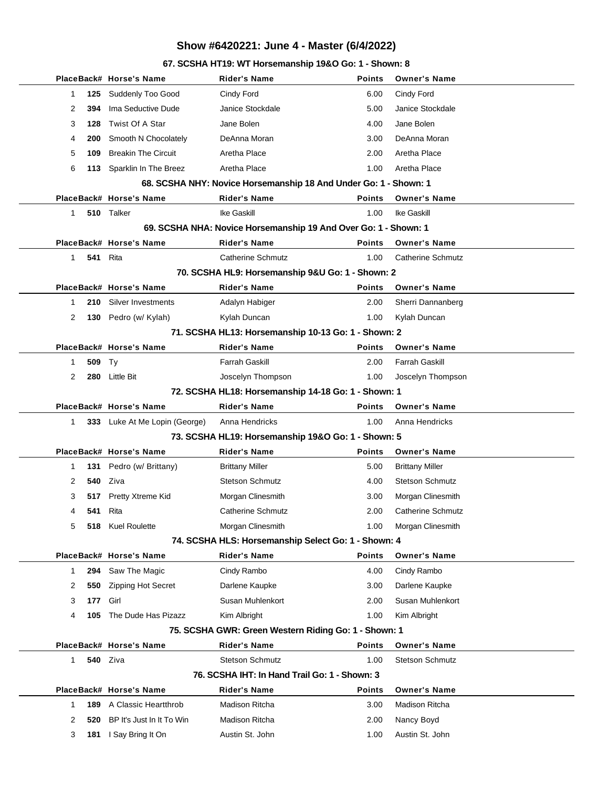#### **67. SCSHA HT19: WT Horsemanship 19&O Go: 1 - Shown: 8**

|                       | PlaceBack# Horse's Name       | <b>Rider's Name</b>                                              | <b>Points</b> | <b>Owner's Name</b>      |
|-----------------------|-------------------------------|------------------------------------------------------------------|---------------|--------------------------|
| 125<br>1              | Suddenly Too Good             | Cindy Ford                                                       | 6.00          | Cindy Ford               |
| $\overline{2}$<br>394 | Ima Seductive Dude            | Janice Stockdale                                                 | 5.00          | Janice Stockdale         |
| 128<br>3              | Twist Of A Star               | Jane Bolen                                                       | 4.00          | Jane Bolen               |
| 4<br>200              | Smooth N Chocolately          | DeAnna Moran                                                     | 3.00          | DeAnna Moran             |
| 5<br>109              | <b>Breakin The Circuit</b>    | Aretha Place                                                     | 2.00          | Aretha Place             |
| 6<br>113              | Sparklin In The Breez         | Aretha Place                                                     | 1.00          | Aretha Place             |
|                       |                               | 68. SCSHA NHY: Novice Horsemanship 18 And Under Go: 1 - Shown: 1 |               |                          |
|                       | PlaceBack# Horse's Name       | <b>Rider's Name</b>                                              | <b>Points</b> | <b>Owner's Name</b>      |
| 1                     | 510 Talker                    | Ike Gaskill                                                      | 1.00          | Ike Gaskill              |
|                       |                               | 69. SCSHA NHA: Novice Horsemanship 19 And Over Go: 1 - Shown: 1  |               |                          |
|                       | PlaceBack# Horse's Name       | <b>Rider's Name</b>                                              | <b>Points</b> | <b>Owner's Name</b>      |
| $\mathbf{1}$<br>541   | Rita                          | <b>Catherine Schmutz</b>                                         | 1.00          | <b>Catherine Schmutz</b> |
|                       |                               | 70. SCSHA HL9: Horsemanship 9&U Go: 1 - Shown: 2                 |               |                          |
|                       | PlaceBack# Horse's Name       | <b>Rider's Name</b>                                              | <b>Points</b> | <b>Owner's Name</b>      |
| 210<br>1              | Silver Investments            | Adalyn Habiger                                                   | 2.00          | Sherri Dannanberg        |
| 130<br>2              | Pedro (w/ Kylah)              | Kylah Duncan                                                     | 1.00          | Kylah Duncan             |
|                       |                               | 71. SCSHA HL13: Horsemanship 10-13 Go: 1 - Shown: 2              |               |                          |
|                       | PlaceBack# Horse's Name       | <b>Rider's Name</b>                                              | <b>Points</b> | <b>Owner's Name</b>      |
| 509<br>1              | Ty                            | Farrah Gaskill                                                   | 2.00          | <b>Farrah Gaskill</b>    |
| $\overline{2}$<br>280 | <b>Little Bit</b>             | Joscelyn Thompson                                                | 1.00          | Joscelyn Thompson        |
|                       |                               | 72. SCSHA HL18: Horsemanship 14-18 Go: 1 - Shown: 1              |               |                          |
|                       | PlaceBack# Horse's Name       | <b>Rider's Name</b>                                              | <b>Points</b> | <b>Owner's Name</b>      |
| 1                     | 333 Luke At Me Lopin (George) | Anna Hendricks                                                   | 1.00          | Anna Hendricks           |
|                       |                               | 73. SCSHA HL19: Horsemanship 19&O Go: 1 - Shown: 5               |               |                          |
|                       | PlaceBack# Horse's Name       | <b>Rider's Name</b>                                              | <b>Points</b> | <b>Owner's Name</b>      |
| 1<br>131              | Pedro (w/ Brittany)           | <b>Brittany Miller</b>                                           | 5.00          | <b>Brittany Miller</b>   |
| 2<br>540              | Ziva                          | <b>Stetson Schmutz</b>                                           | 4.00          | <b>Stetson Schmutz</b>   |
| 3<br>517              | Pretty Xtreme Kid             | Morgan Clinesmith                                                | 3.00          | Morgan Clinesmith        |
| 541<br>4              | Rita                          | <b>Catherine Schmutz</b>                                         | 2.00          | <b>Catherine Schmutz</b> |
| 5                     | 518 Kuel Roulette             | Morgan Clinesmith                                                | 1.00          | Morgan Clinesmith        |
|                       |                               | 74. SCSHA HLS: Horsemanship Select Go: 1 - Shown: 4              |               |                          |
|                       | PlaceBack# Horse's Name       | <b>Rider's Name</b>                                              | <b>Points</b> | <b>Owner's Name</b>      |
| 1<br>294              | Saw The Magic                 | Cindy Rambo                                                      | 4.00          | Cindy Rambo              |
| 2<br>550              | Zipping Hot Secret            | Darlene Kaupke                                                   | 3.00          | Darlene Kaupke           |
| 3<br>177              | Girl                          | Susan Muhlenkort                                                 | 2.00          | Susan Muhlenkort         |
| 4<br>105              | The Dude Has Pizazz           | Kim Albright                                                     | 1.00          | Kim Albright             |
|                       |                               | 75. SCSHA GWR: Green Western Riding Go: 1 - Shown: 1             |               |                          |
|                       | PlaceBack# Horse's Name       | <b>Rider's Name</b>                                              | <b>Points</b> | <b>Owner's Name</b>      |
| 1                     | <b>540</b> Ziva               | <b>Stetson Schmutz</b>                                           | 1.00          | <b>Stetson Schmutz</b>   |
|                       |                               | 76. SCSHA IHT: In Hand Trail Go: 1 - Shown: 3                    |               |                          |
|                       | PlaceBack# Horse's Name       | <b>Rider's Name</b>                                              | <b>Points</b> | <b>Owner's Name</b>      |
| 189<br>1              | A Classic Heartthrob          | Madison Ritcha                                                   | 3.00          | Madison Ritcha           |
| 2<br>520              | BP It's Just In It To Win     | Madison Ritcha                                                   | 2.00          | Nancy Boyd               |
| 3<br>181              | I Say Bring It On             | Austin St. John                                                  | 1.00          | Austin St. John          |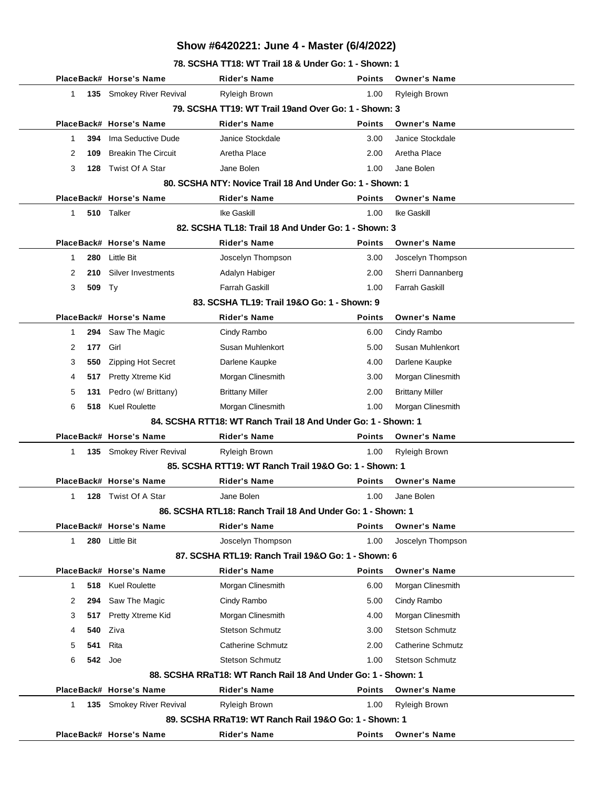**78. SCSHA TT18: WT Trail 18 & Under Go: 1 - Shown: 1**

|                     | PlaceBack# Horse's Name     | <b>Rider's Name</b>                                           | <b>Points</b> | <b>Owner's Name</b>      |
|---------------------|-----------------------------|---------------------------------------------------------------|---------------|--------------------------|
| 1<br>135            | <b>Smokey River Revival</b> | Ryleigh Brown                                                 | 1.00          | Ryleigh Brown            |
|                     |                             | 79. SCSHA TT19: WT Trail 19and Over Go: 1 - Shown: 3          |               |                          |
|                     | PlaceBack# Horse's Name     | <b>Rider's Name</b>                                           | <b>Points</b> | <b>Owner's Name</b>      |
| 394<br>$\mathbf{1}$ | Ima Seductive Dude          | Janice Stockdale                                              | 3.00          | Janice Stockdale         |
| 2<br>109            | <b>Breakin The Circuit</b>  | Aretha Place                                                  | 2.00          | Aretha Place             |
| 3<br>128            | Twist Of A Star             | Jane Bolen                                                    | 1.00          | Jane Bolen               |
|                     |                             | 80. SCSHA NTY: Novice Trail 18 And Under Go: 1 - Shown: 1     |               |                          |
|                     | PlaceBack# Horse's Name     | <b>Rider's Name</b>                                           | <b>Points</b> | <b>Owner's Name</b>      |
| 510<br>1            | Talker                      | Ike Gaskill                                                   | 1.00          | Ike Gaskill              |
|                     |                             | 82. SCSHA TL18: Trail 18 And Under Go: 1 - Shown: 3           |               |                          |
|                     | PlaceBack# Horse's Name     | <b>Rider's Name</b>                                           | <b>Points</b> | <b>Owner's Name</b>      |
| 280<br>$\mathbf{1}$ | <b>Little Bit</b>           | Joscelyn Thompson                                             | 3.00          | Joscelyn Thompson        |
| 2<br>210            | Silver Investments          | Adalyn Habiger                                                | 2.00          | Sherri Dannanberg        |
| 3<br>509            | Ty                          | <b>Farrah Gaskill</b>                                         | 1.00          | <b>Farrah Gaskill</b>    |
|                     |                             | 83. SCSHA TL19: Trail 19&O Go: 1 - Shown: 9                   |               |                          |
|                     | PlaceBack# Horse's Name     | <b>Rider's Name</b>                                           | <b>Points</b> | <b>Owner's Name</b>      |
| 1<br>294            | Saw The Magic               | Cindy Rambo                                                   | 6.00          | Cindy Rambo              |
| 2<br>177            | Girl                        | Susan Muhlenkort                                              | 5.00          | Susan Muhlenkort         |
| 3<br>550            | <b>Zipping Hot Secret</b>   | Darlene Kaupke                                                | 4.00          | Darlene Kaupke           |
| 4<br>517            | Pretty Xtreme Kid           | Morgan Clinesmith                                             | 3.00          | Morgan Clinesmith        |
| 5<br>131            | Pedro (w/ Brittany)         | <b>Brittany Miller</b>                                        | 2.00          | <b>Brittany Miller</b>   |
| 6<br>518            | <b>Kuel Roulette</b>        | Morgan Clinesmith                                             | 1.00          | Morgan Clinesmith        |
|                     |                             | 84. SCSHA RTT18: WT Ranch Trail 18 And Under Go: 1 - Shown: 1 |               |                          |
|                     | PlaceBack# Horse's Name     | <b>Rider's Name</b>                                           | <b>Points</b> | <b>Owner's Name</b>      |
| $\mathbf{1}$<br>135 | <b>Smokey River Revival</b> | Ryleigh Brown                                                 | 1.00          | <b>Ryleigh Brown</b>     |
|                     |                             | 85. SCSHA RTT19: WT Ranch Trail 19&O Go: 1 - Shown: 1         |               |                          |
|                     | PlaceBack# Horse's Name     | Rider's Name                                                  | <b>Points</b> | <b>Owner's Name</b>      |
| 128<br>1            | Twist Of A Star             | Jane Bolen                                                    | 1.00          | Jane Bolen               |
|                     |                             | 86. SCSHA RTL18: Ranch Trail 18 And Under Go: 1 - Shown: 1    |               |                          |
|                     | PlaceBack# Horse's Name     | <b>Rider's Name</b>                                           | <b>Points</b> | <b>Owner's Name</b>      |
| 280<br>1            | <b>Little Bit</b>           | Joscelyn Thompson                                             | 1.00          | Joscelyn Thompson        |
|                     |                             | 87. SCSHA RTL19: Ranch Trail 19&O Go: 1 - Shown: 6            |               |                          |
|                     | PlaceBack# Horse's Name     | <b>Rider's Name</b>                                           | <b>Points</b> | <b>Owner's Name</b>      |
| 518<br>$\mathbf{1}$ | <b>Kuel Roulette</b>        | Morgan Clinesmith                                             | 6.00          | Morgan Clinesmith        |
| 2<br>294            | Saw The Magic               | Cindy Rambo                                                   | 5.00          | Cindy Rambo              |
| 3<br>517            | Pretty Xtreme Kid           | Morgan Clinesmith                                             | 4.00          | Morgan Clinesmith        |
| 540<br>4            | Ziva                        | <b>Stetson Schmutz</b>                                        | 3.00          | <b>Stetson Schmutz</b>   |
| 5<br>541            | Rita                        | <b>Catherine Schmutz</b>                                      | 2.00          | <b>Catherine Schmutz</b> |
| 6<br>542            | Joe                         | <b>Stetson Schmutz</b>                                        | 1.00          | <b>Stetson Schmutz</b>   |
|                     |                             | 88. SCSHA RRaT18: WT Ranch Rail 18 And Under Go: 1 - Shown: 1 |               |                          |
|                     | PlaceBack# Horse's Name     | <b>Rider's Name</b>                                           | <b>Points</b> | <b>Owner's Name</b>      |
| $\mathbf{1}$<br>135 | Smokey River Revival        | Ryleigh Brown                                                 | 1.00          | Ryleigh Brown            |
|                     |                             | 89. SCSHA RRaT19: WT Ranch Rail 19&O Go: 1 - Shown: 1         |               |                          |
|                     | PlaceBack# Horse's Name     | <b>Rider's Name</b>                                           | <b>Points</b> | <b>Owner's Name</b>      |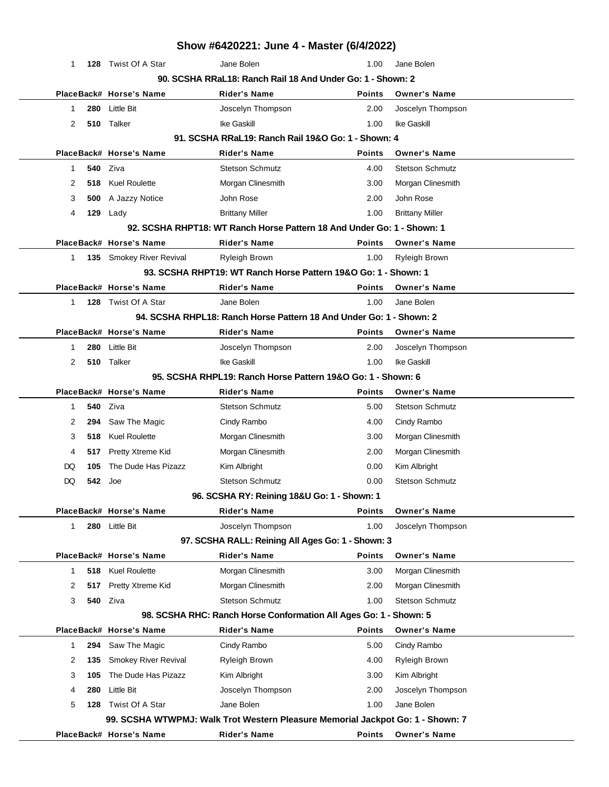|                     |                          | Show #6420221: June 4 - Master (6/4/2022)                                      |               |                        |
|---------------------|--------------------------|--------------------------------------------------------------------------------|---------------|------------------------|
| 1                   | 128 Twist Of A Star      | Jane Bolen                                                                     | 1.00          | Jane Bolen             |
|                     |                          | 90. SCSHA RRaL18: Ranch Rail 18 And Under Go: 1 - Shown: 2                     |               |                        |
|                     | PlaceBack# Horse's Name  | <b>Rider's Name</b>                                                            | <b>Points</b> | <b>Owner's Name</b>    |
| 280<br>1            | <b>Little Bit</b>        | Joscelyn Thompson                                                              | 2.00          | Joscelyn Thompson      |
| 2                   | 510 Talker               | Ike Gaskill                                                                    | 1.00          | Ike Gaskill            |
|                     |                          | 91. SCSHA RRaL19: Ranch Rail 19&O Go: 1 - Shown: 4                             |               |                        |
|                     | PlaceBack# Horse's Name  | <b>Rider's Name</b>                                                            | <b>Points</b> | <b>Owner's Name</b>    |
| 540<br>1            | Ziva                     | <b>Stetson Schmutz</b>                                                         | 4.00          | <b>Stetson Schmutz</b> |
| 2<br>518            | <b>Kuel Roulette</b>     | Morgan Clinesmith                                                              | 3.00          | Morgan Clinesmith      |
| 3<br>500            | A Jazzy Notice           | John Rose                                                                      | 2.00          | John Rose              |
| 129<br>4            | Lady                     | <b>Brittany Miller</b>                                                         | 1.00          | <b>Brittany Miller</b> |
|                     |                          | 92. SCSHA RHPT18: WT Ranch Horse Pattern 18 And Under Go: 1 - Shown: 1         |               |                        |
|                     | PlaceBack# Horse's Name  | <b>Rider's Name</b>                                                            | <b>Points</b> | <b>Owner's Name</b>    |
| $\mathbf 1$         | 135 Smokey River Revival | <b>Ryleigh Brown</b>                                                           | 1.00          | Ryleigh Brown          |
|                     |                          | 93. SCSHA RHPT19: WT Ranch Horse Pattern 19&O Go: 1 - Shown: 1                 |               |                        |
|                     | PlaceBack# Horse's Name  | <b>Rider's Name</b>                                                            | Points        | <b>Owner's Name</b>    |
| 1                   | 128 Twist Of A Star      | Jane Bolen                                                                     | 1.00          | Jane Bolen             |
|                     |                          | 94. SCSHA RHPL18: Ranch Horse Pattern 18 And Under Go: 1 - Shown: 2            |               |                        |
|                     | PlaceBack# Horse's Name  | <b>Rider's Name</b>                                                            | <b>Points</b> | <b>Owner's Name</b>    |
| 1<br>280            | Little Bit               | Joscelyn Thompson                                                              | 2.00          | Joscelyn Thompson      |
| 2                   | 510 Talker               | Ike Gaskill                                                                    | 1.00          | Ike Gaskill            |
|                     |                          | 95. SCSHA RHPL19: Ranch Horse Pattern 19&O Go: 1 - Shown: 6                    |               |                        |
|                     | PlaceBack# Horse's Name  | <b>Rider's Name</b>                                                            | <b>Points</b> | <b>Owner's Name</b>    |
| 540<br>1            | Ziva                     | <b>Stetson Schmutz</b>                                                         | 5.00          | <b>Stetson Schmutz</b> |
| 2<br>294            | Saw The Magic            | Cindy Rambo                                                                    | 4.00          | Cindy Rambo            |
| 3<br>518            | <b>Kuel Roulette</b>     | Morgan Clinesmith                                                              | 3.00          | Morgan Clinesmith      |
| 4<br>517            | Pretty Xtreme Kid        | Morgan Clinesmith                                                              | 2.00          | Morgan Clinesmith      |
| DQ<br>105           | The Dude Has Pizazz      | Kim Albright                                                                   | 0.00          | Kim Albright           |
| DQ<br>542           | Joe                      | <b>Stetson Schmutz</b>                                                         | 0.00          | <b>Stetson Schmutz</b> |
|                     |                          | 96. SCSHA RY: Reining 18&U Go: 1 - Shown: 1                                    |               |                        |
|                     | PlaceBack# Horse's Name  | <b>Rider's Name</b>                                                            | <b>Points</b> | <b>Owner's Name</b>    |
| $\mathbf{1}$        | 280 Little Bit           | Joscelyn Thompson                                                              | 1.00          | Joscelyn Thompson      |
|                     |                          | 97. SCSHA RALL: Reining All Ages Go: 1 - Shown: 3                              |               |                        |
|                     | PlaceBack# Horse's Name  | <b>Rider's Name</b>                                                            | <b>Points</b> | <b>Owner's Name</b>    |
| 518<br>$\mathbf{1}$ | <b>Kuel Roulette</b>     | Morgan Clinesmith                                                              | 3.00          | Morgan Clinesmith      |
| 2<br>517            | Pretty Xtreme Kid        | Morgan Clinesmith                                                              | 2.00          | Morgan Clinesmith      |
| 3<br>540            | Ziva                     | <b>Stetson Schmutz</b>                                                         | 1.00          | <b>Stetson Schmutz</b> |
|                     |                          | 98. SCSHA RHC: Ranch Horse Conformation All Ages Go: 1 - Shown: 5              |               |                        |
|                     | PlaceBack# Horse's Name  | <b>Rider's Name</b>                                                            | <b>Points</b> | <b>Owner's Name</b>    |
| $\mathbf{1}$<br>294 | Saw The Magic            | Cindy Rambo                                                                    | 5.00          | Cindy Rambo            |
| 2<br>135            | Smokey River Revival     | Ryleigh Brown                                                                  | 4.00          | Ryleigh Brown          |
| 3<br>105            | The Dude Has Pizazz      | Kim Albright                                                                   | 3.00          | Kim Albright           |
| 280<br>4            | Little Bit               | Joscelyn Thompson                                                              | 2.00          | Joscelyn Thompson      |
| 5<br>128            | Twist Of A Star          | Jane Bolen                                                                     | 1.00          | Jane Bolen             |
|                     |                          | 99. SCSHA WTWPMJ: Walk Trot Western Pleasure Memorial Jackpot Go: 1 - Shown: 7 |               |                        |
|                     | PlaceBack# Horse's Name  | <b>Rider's Name</b>                                                            | <b>Points</b> | <b>Owner's Name</b>    |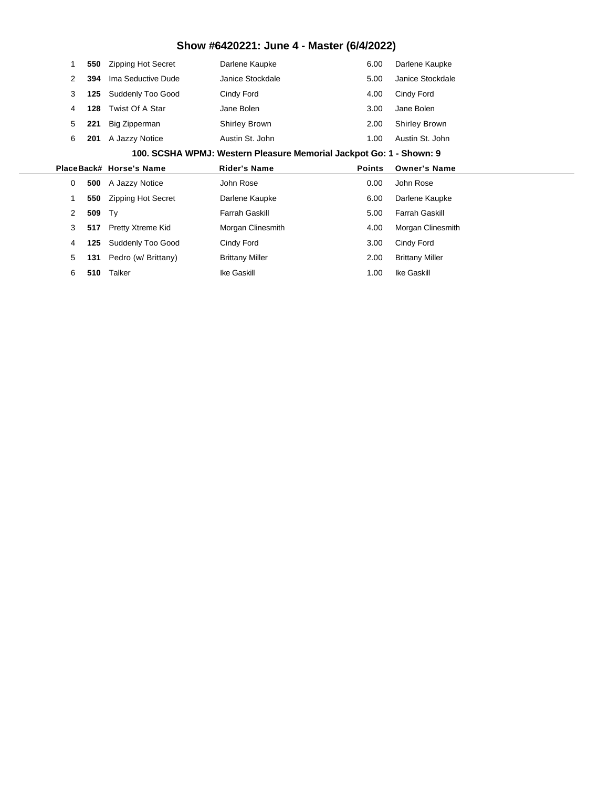|                | 550 | <b>Zipping Hot Secret</b> | Darlene Kaupke                                                      | 6.00          | Darlene Kaupke         |
|----------------|-----|---------------------------|---------------------------------------------------------------------|---------------|------------------------|
| 2              | 394 | Ima Seductive Dude        | Janice Stockdale                                                    | 5.00          | Janice Stockdale       |
| 3              | 125 | Suddenly Too Good         | Cindy Ford                                                          | 4.00          | Cindy Ford             |
| 4              | 128 | Twist Of A Star           | Jane Bolen                                                          | 3.00          | Jane Bolen             |
| 5              | 221 | Big Zipperman             | <b>Shirley Brown</b>                                                | 2.00          | <b>Shirley Brown</b>   |
| 6              | 201 | A Jazzy Notice            | Austin St. John                                                     | 1.00          | Austin St. John        |
|                |     |                           | 100. SCSHA WPMJ: Western Pleasure Memorial Jackpot Go: 1 - Shown: 9 |               |                        |
|                |     | PlaceBack# Horse's Name   | <b>Rider's Name</b>                                                 | <b>Points</b> | <b>Owner's Name</b>    |
|                |     |                           |                                                                     |               |                        |
| 0              | 500 | A Jazzy Notice            | John Rose                                                           | 0.00          | John Rose              |
|                | 550 | <b>Zipping Hot Secret</b> | Darlene Kaupke                                                      | 6.00          | Darlene Kaupke         |
| $\overline{2}$ | 509 | Ty                        | Farrah Gaskill                                                      | 5.00          | <b>Farrah Gaskill</b>  |
| 3              | 517 | Pretty Xtreme Kid         | Morgan Clinesmith                                                   | 4.00          | Morgan Clinesmith      |
| 4              | 125 | Suddenly Too Good         | Cindy Ford                                                          | 3.00          | Cindy Ford             |
| 5              | 131 | Pedro (w/ Brittany)       | <b>Brittany Miller</b>                                              | 2.00          | <b>Brittany Miller</b> |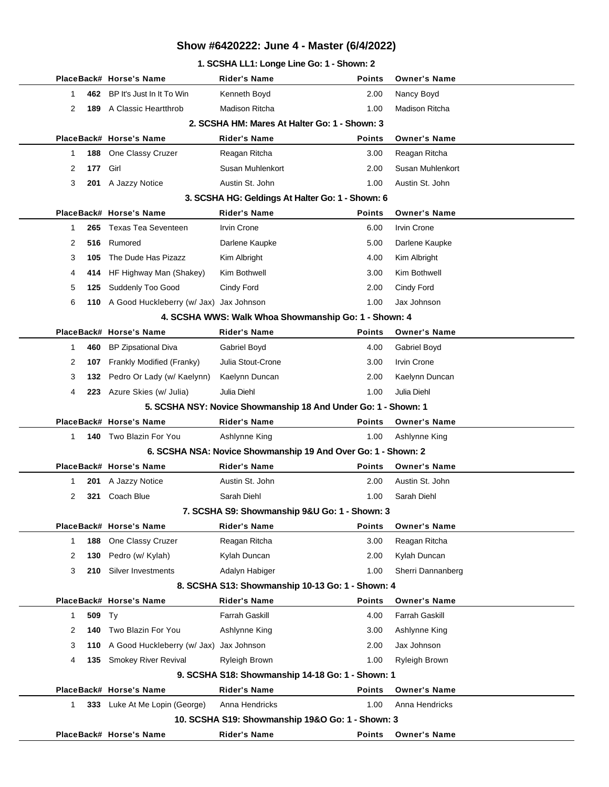#### **1. SCSHA LL1: Longe Line Go: 1 - Shown: 2**

|                |     | PlaceBack# Horse's Name                     | <b>Rider's Name</b>                                            | <b>Points</b> | <b>Owner's Name</b>   |
|----------------|-----|---------------------------------------------|----------------------------------------------------------------|---------------|-----------------------|
| 1              | 462 | BP It's Just In It To Win                   | Kenneth Boyd                                                   | 2.00          | Nancy Boyd            |
| $\overline{2}$ | 189 | A Classic Heartthrob                        | <b>Madison Ritcha</b>                                          | 1.00          | <b>Madison Ritcha</b> |
|                |     |                                             | 2. SCSHA HM: Mares At Halter Go: 1 - Shown: 3                  |               |                       |
|                |     | PlaceBack# Horse's Name                     | <b>Rider's Name</b>                                            | <b>Points</b> | <b>Owner's Name</b>   |
| 1              | 188 | One Classy Cruzer                           | Reagan Ritcha                                                  | 3.00          | Reagan Ritcha         |
| 2              | 177 | Girl                                        | Susan Muhlenkort                                               | 2.00          | Susan Muhlenkort      |
| 3              |     | 201 A Jazzy Notice                          | Austin St. John                                                | 1.00          | Austin St. John       |
|                |     |                                             | 3. SCSHA HG: Geldings At Halter Go: 1 - Shown: 6               |               |                       |
|                |     | PlaceBack# Horse's Name                     | <b>Rider's Name</b>                                            | <b>Points</b> | <b>Owner's Name</b>   |
| 1              | 265 | <b>Texas Tea Seventeen</b>                  | <b>Irvin Crone</b>                                             | 6.00          | <b>Irvin Crone</b>    |
| 2              | 516 | Rumored                                     | Darlene Kaupke                                                 | 5.00          | Darlene Kaupke        |
| 3              | 105 | The Dude Has Pizazz                         | Kim Albright                                                   | 4.00          | Kim Albright          |
| 4              | 414 | HF Highway Man (Shakey)                     | Kim Bothwell                                                   | 3.00          | Kim Bothwell          |
| 5              | 125 | Suddenly Too Good                           | Cindy Ford                                                     | 2.00          | Cindy Ford            |
| 6              |     | 110 A Good Huckleberry (w/ Jax) Jax Johnson |                                                                | 1.00          | Jax Johnson           |
|                |     |                                             | 4. SCSHA WWS: Walk Whoa Showmanship Go: 1 - Shown: 4           |               |                       |
|                |     | PlaceBack# Horse's Name                     | <b>Rider's Name</b>                                            | <b>Points</b> | <b>Owner's Name</b>   |
| 1              | 460 | <b>BP Zipsational Diva</b>                  | Gabriel Boyd                                                   | 4.00          | Gabriel Boyd          |
| 2              | 107 | Frankly Modified (Franky)                   | Julia Stout-Crone                                              | 3.00          | <b>Irvin Crone</b>    |
| 3              | 132 | Pedro Or Lady (w/ Kaelynn)                  | Kaelynn Duncan                                                 | 2.00          | Kaelynn Duncan        |
| 4              |     | 223 Azure Skies (w/ Julia)                  | Julia Diehl                                                    | 1.00          | Julia Diehl           |
|                |     |                                             | 5. SCSHA NSY: Novice Showmanship 18 And Under Go: 1 - Shown: 1 |               |                       |
|                |     | PlaceBack# Horse's Name                     | <b>Rider's Name</b>                                            | <b>Points</b> | <b>Owner's Name</b>   |
| $\mathbf{1}$   |     | 140 Two Blazin For You                      | Ashlynne King                                                  | 1.00          | Ashlynne King         |
|                |     |                                             | 6. SCSHA NSA: Novice Showmanship 19 And Over Go: 1 - Shown: 2  |               |                       |
|                |     | PlaceBack# Horse's Name                     | <b>Rider's Name</b>                                            | <b>Points</b> | <b>Owner's Name</b>   |
| 1              | 201 | A Jazzy Notice                              | Austin St. John                                                | 2.00          | Austin St. John       |
| 2              | 321 | Coach Blue                                  | Sarah Diehl                                                    | 1.00          | Sarah Diehl           |
|                |     |                                             | 7. SCSHA S9: Showmanship 9&U Go: 1 - Shown: 3                  |               |                       |
|                |     | PlaceBack# Horse's Name                     | <b>Rider's Name</b>                                            | <b>Points</b> | <b>Owner's Name</b>   |
| $\mathbf{1}$   | 188 | One Classy Cruzer                           | Reagan Ritcha                                                  | 3.00          | Reagan Ritcha         |
| 2              | 130 | Pedro (w/ Kylah)                            | Kylah Duncan                                                   | 2.00          | Kylah Duncan          |
| 3              | 210 | Silver Investments                          | Adalyn Habiger                                                 | 1.00          | Sherri Dannanberg     |
|                |     |                                             | 8. SCSHA S13: Showmanship 10-13 Go: 1 - Shown: 4               |               |                       |
|                |     | PlaceBack# Horse's Name                     | <b>Rider's Name</b>                                            | <b>Points</b> | <b>Owner's Name</b>   |
| $\mathbf{1}$   | 509 | Ty                                          | <b>Farrah Gaskill</b>                                          | 4.00          | <b>Farrah Gaskill</b> |
| 2              | 140 | Two Blazin For You                          | Ashlynne King                                                  | 3.00          | Ashlynne King         |
| 3              | 110 | A Good Huckleberry (w/ Jax)                 | Jax Johnson                                                    | 2.00          | Jax Johnson           |
| 4              | 135 | <b>Smokey River Revival</b>                 | Ryleigh Brown                                                  | 1.00          | Ryleigh Brown         |
|                |     |                                             | 9. SCSHA S18: Showmanship 14-18 Go: 1 - Shown: 1               |               |                       |
|                |     | PlaceBack# Horse's Name                     | <b>Rider's Name</b>                                            | <b>Points</b> | <b>Owner's Name</b>   |
| $\mathbf{1}$   |     | 333 Luke At Me Lopin (George)               | Anna Hendricks                                                 | 1.00          | Anna Hendricks        |
|                |     |                                             | 10. SCSHA S19: Showmanship 19&O Go: 1 - Shown: 3               |               |                       |
|                |     | PlaceBack# Horse's Name                     | <b>Rider's Name</b>                                            | <b>Points</b> | <b>Owner's Name</b>   |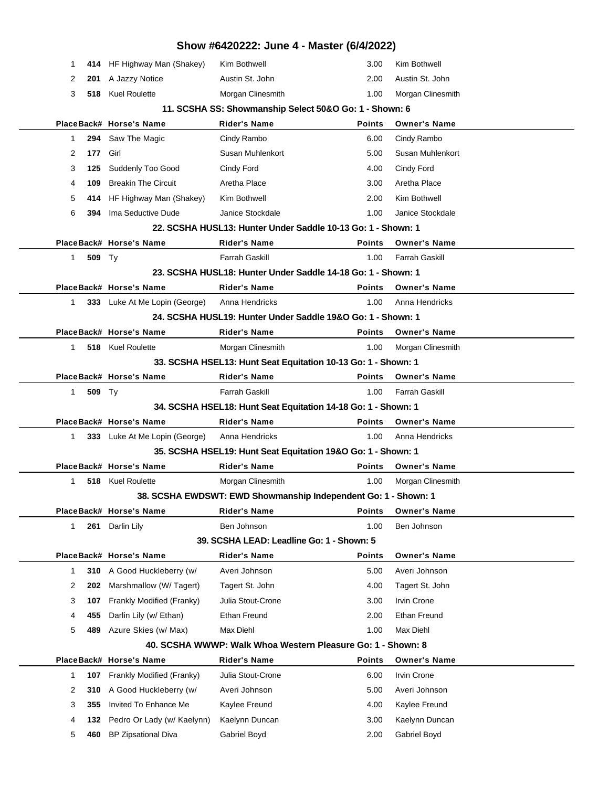|              |        |                                                      | Show #6420222: June 4 - Master (6/4/2022)                      |                       |                                    |  |
|--------------|--------|------------------------------------------------------|----------------------------------------------------------------|-----------------------|------------------------------------|--|
| 1            |        | 414 HF Highway Man (Shakey)                          | Kim Bothwell                                                   | 3.00                  | Kim Bothwell                       |  |
| 2            |        | 201 A Jazzy Notice                                   | Austin St. John                                                | 2.00                  | Austin St. John                    |  |
| 3            |        | 518 Kuel Roulette                                    | Morgan Clinesmith                                              | 1.00                  | Morgan Clinesmith                  |  |
|              |        |                                                      | 11. SCSHA SS: Showmanship Select 50&O Go: 1 - Shown: 6         |                       |                                    |  |
|              |        | PlaceBack# Horse's Name                              | <b>Rider's Name</b>                                            | <b>Points</b>         | <b>Owner's Name</b>                |  |
| 1            | 294    | Saw The Magic                                        | Cindy Rambo                                                    | 6.00                  | Cindy Rambo                        |  |
| 2            | 177    | Girl                                                 | Susan Muhlenkort                                               | 5.00                  | Susan Muhlenkort                   |  |
| 3            | 125    | Suddenly Too Good                                    | Cindy Ford                                                     | 4.00                  | Cindy Ford                         |  |
| 4            | 109    | <b>Breakin The Circuit</b>                           | Aretha Place                                                   | 3.00                  | Aretha Place                       |  |
| 5            | 414    | HF Highway Man (Shakey)                              | Kim Bothwell                                                   | 2.00                  | Kim Bothwell                       |  |
| 6            | 394    | Ima Seductive Dude                                   | Janice Stockdale                                               | 1.00                  | Janice Stockdale                   |  |
|              |        |                                                      | 22. SCSHA HUSL13: Hunter Under Saddle 10-13 Go: 1 - Shown: 1   |                       |                                    |  |
|              |        | PlaceBack# Horse's Name                              | <b>Rider's Name</b>                                            | Points                | <b>Owner's Name</b>                |  |
| $\mathbf{1}$ | 509 Ty |                                                      | <b>Farrah Gaskill</b>                                          | 1.00                  | <b>Farrah Gaskill</b>              |  |
|              |        |                                                      | 23. SCSHA HUSL18: Hunter Under Saddle 14-18 Go: 1 - Shown: 1   |                       |                                    |  |
|              |        | PlaceBack# Horse's Name                              | <b>Rider's Name</b>                                            | <b>Points</b>         | <b>Owner's Name</b>                |  |
| $\mathbf{1}$ |        | 333 Luke At Me Lopin (George)                        | Anna Hendricks                                                 | 1.00                  | Anna Hendricks                     |  |
|              |        |                                                      | 24. SCSHA HUSL19: Hunter Under Saddle 19&O Go: 1 - Shown: 1    |                       |                                    |  |
|              |        | PlaceBack# Horse's Name                              | Rider's Name                                                   | <b>Points</b>         | <b>Owner's Name</b>                |  |
| $\mathbf{1}$ |        | 518 Kuel Roulette                                    | Morgan Clinesmith                                              | 1.00                  | Morgan Clinesmith                  |  |
|              |        |                                                      | 33. SCSHA HSEL13: Hunt Seat Equitation 10-13 Go: 1 - Shown: 1  |                       |                                    |  |
|              |        | PlaceBack# Horse's Name                              | <b>Rider's Name</b>                                            | <b>Points</b>         | <b>Owner's Name</b>                |  |
| $\mathbf{1}$ | 509 Ty |                                                      | Farrah Gaskill                                                 | 1.00                  | <b>Farrah Gaskill</b>              |  |
|              |        |                                                      | 34. SCSHA HSEL18: Hunt Seat Equitation 14-18 Go: 1 - Shown: 1  |                       |                                    |  |
|              |        | PlaceBack# Horse's Name                              | <b>Rider's Name</b>                                            | <b>Points</b>         | <b>Owner's Name</b>                |  |
| 1            |        | 333 Luke At Me Lopin (George)                        | Anna Hendricks                                                 | 1.00                  | Anna Hendricks                     |  |
|              |        |                                                      | 35. SCSHA HSEL19: Hunt Seat Equitation 19&O Go: 1 - Shown: 1   |                       |                                    |  |
|              |        | PlaceBack# Horse's Name                              | <b>Rider's Name</b>                                            | <b>Points</b>         | <b>Owner's Name</b>                |  |
| 1            |        | 518 Kuel Roulette                                    | Morgan Clinesmith                                              | 1.00                  | Morgan Clinesmith                  |  |
|              |        |                                                      | 38. SCSHA EWDSWT: EWD Showmanship Independent Go: 1 - Shown: 1 |                       |                                    |  |
|              |        | PlaceBack# Horse's Name                              | <b>Rider's Name</b>                                            | <b>Points</b>         | <b>Owner's Name</b>                |  |
| $\mathbf{1}$ | 261    | Darlin Lily                                          | Ben Johnson                                                    | 1.00                  | Ben Johnson                        |  |
|              |        |                                                      | 39. SCSHA LEAD: Leadline Go: 1 - Shown: 5                      |                       |                                    |  |
|              |        | PlaceBack# Horse's Name                              | <b>Rider's Name</b>                                            | <b>Points</b>         | <b>Owner's Name</b>                |  |
| 1            | 310    | A Good Huckleberry (w/                               | Averi Johnson                                                  | 5.00                  | Averi Johnson                      |  |
| 2            | 202    | Marshmallow (W/ Tagert)                              | Tagert St. John                                                | 4.00                  | Tagert St. John                    |  |
| 3            | 107    | Frankly Modified (Franky)                            | Julia Stout-Crone                                              | 3.00                  | Irvin Crone                        |  |
| 4            | 455    | Darlin Lily (w/ Ethan)                               | Ethan Freund                                                   | 2.00                  | <b>Ethan Freund</b>                |  |
| 5            | 489    | Azure Skies (w/ Max)                                 | Max Diehl                                                      | 1.00                  | Max Diehl                          |  |
|              |        |                                                      | 40. SCSHA WWWP: Walk Whoa Western Pleasure Go: 1 - Shown: 8    |                       |                                    |  |
|              |        | PlaceBack# Horse's Name<br>Frankly Modified (Franky) | <b>Rider's Name</b><br>Julia Stout-Crone                       | <b>Points</b><br>6.00 | <b>Owner's Name</b><br>Irvin Crone |  |
| 1            | 107    | A Good Huckleberry (w/                               | Averi Johnson                                                  |                       | Averi Johnson                      |  |
| 2            | 310    | Invited To Enhance Me                                |                                                                | 5.00                  |                                    |  |
| 3            | 355    |                                                      | Kaylee Freund<br>Kaelynn Duncan                                | 4.00                  | Kaylee Freund<br>Kaelynn Duncan    |  |
| 4            | 132    | Pedro Or Lady (w/ Kaelynn)                           |                                                                | 3.00                  |                                    |  |
| 5            | 460    | BP Zipsational Diva                                  | Gabriel Boyd                                                   | 2.00                  | Gabriel Boyd                       |  |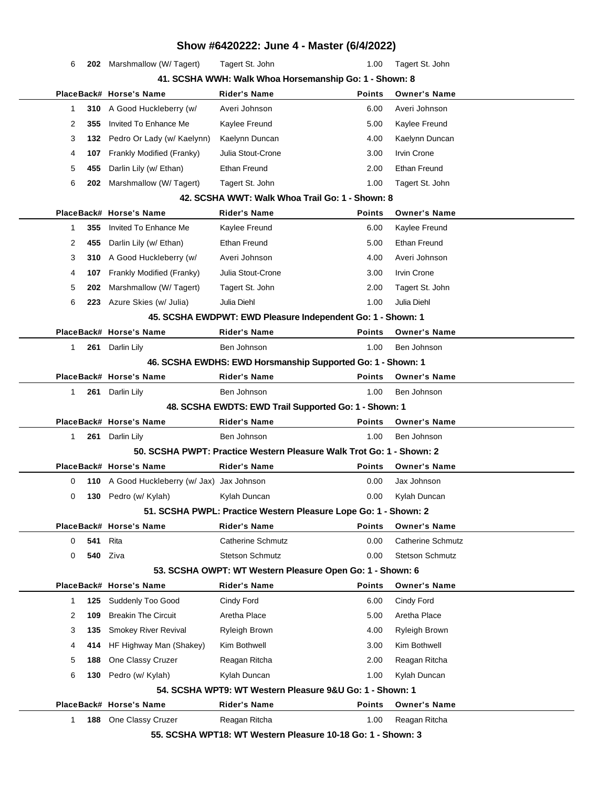|              |     |                                             |                        | Show #6420222: June 4 - Master (6/4/2022)                            |                          |  |
|--------------|-----|---------------------------------------------|------------------------|----------------------------------------------------------------------|--------------------------|--|
| 6            |     | 202 Marshmallow (W/ Tagert)                 | Tagert St. John        | 1.00                                                                 | Tagert St. John          |  |
|              |     |                                             |                        | 41. SCSHA WWH: Walk Whoa Horsemanship Go: 1 - Shown: 8               |                          |  |
|              |     | PlaceBack# Horse's Name                     | <b>Rider's Name</b>    | <b>Points</b>                                                        | <b>Owner's Name</b>      |  |
| 1.           | 310 | A Good Huckleberry (w/                      | Averi Johnson          | 6.00                                                                 | Averi Johnson            |  |
| 2            | 355 | Invited To Enhance Me                       | Kaylee Freund          | 5.00                                                                 | Kaylee Freund            |  |
| 3            | 132 | Pedro Or Lady (w/ Kaelynn)                  | Kaelynn Duncan         | 4.00                                                                 | Kaelynn Duncan           |  |
| 4            | 107 | Frankly Modified (Franky)                   | Julia Stout-Crone      | 3.00                                                                 | <b>Irvin Crone</b>       |  |
| 5            | 455 | Darlin Lily (w/ Ethan)                      | <b>Ethan Freund</b>    | 2.00                                                                 | <b>Ethan Freund</b>      |  |
| 6            | 202 | Marshmallow (W/Tagert)                      | Tagert St. John        | 1.00                                                                 | Tagert St. John          |  |
|              |     |                                             |                        | 42. SCSHA WWT: Walk Whoa Trail Go: 1 - Shown: 8                      |                          |  |
|              |     | PlaceBack# Horse's Name                     | <b>Rider's Name</b>    | <b>Points</b>                                                        | <b>Owner's Name</b>      |  |
| 1            | 355 | Invited To Enhance Me                       | Kaylee Freund          | 6.00                                                                 | Kaylee Freund            |  |
| 2            | 455 | Darlin Lily (w/ Ethan)                      | Ethan Freund           | 5.00                                                                 | <b>Ethan Freund</b>      |  |
| 3            | 310 | A Good Huckleberry (w/                      | Averi Johnson          | 4.00                                                                 | Averi Johnson            |  |
| 4            | 107 | Frankly Modified (Franky)                   | Julia Stout-Crone      | 3.00                                                                 | <b>Irvin Crone</b>       |  |
| 5            | 202 | Marshmallow (W/Tagert)                      | Tagert St. John        | 2.00                                                                 | Tagert St. John          |  |
| 6            |     | 223 Azure Skies (w/ Julia)                  | Julia Diehl            | 1.00                                                                 | Julia Diehl              |  |
|              |     |                                             |                        | 45. SCSHA EWDPWT: EWD Pleasure Independent Go: 1 - Shown: 1          |                          |  |
|              |     | PlaceBack# Horse's Name                     | <b>Rider's Name</b>    | <b>Points</b>                                                        | <b>Owner's Name</b>      |  |
| 1            |     | 261 Darlin Lily                             | Ben Johnson            | 1.00                                                                 | Ben Johnson              |  |
|              |     |                                             |                        | 46. SCSHA EWDHS: EWD Horsmanship Supported Go: 1 - Shown: 1          |                          |  |
|              |     | PlaceBack# Horse's Name                     | <b>Rider's Name</b>    | <b>Points</b>                                                        | <b>Owner's Name</b>      |  |
| 1            |     | 261 Darlin Lily                             | Ben Johnson            | 1.00                                                                 | Ben Johnson              |  |
|              |     |                                             |                        | 48. SCSHA EWDTS: EWD Trail Supported Go: 1 - Shown: 1                |                          |  |
|              |     | PlaceBack# Horse's Name                     | <b>Rider's Name</b>    | <b>Points</b>                                                        | <b>Owner's Name</b>      |  |
| $\mathbf{1}$ | 261 | Darlin Lily                                 | Ben Johnson            | 1.00                                                                 | Ben Johnson              |  |
|              |     |                                             |                        | 50. SCSHA PWPT: Practice Western Pleasure Walk Trot Go: 1 - Shown: 2 |                          |  |
|              |     | PlaceBack# Horse's Name                     | <b>Rider's Name</b>    | <b>Points</b>                                                        | <b>Owner's Name</b>      |  |
| 0            |     | 110 A Good Huckleberry (w/ Jax) Jax Johnson |                        | 0.00                                                                 | Jax Johnson              |  |
| 0            |     | 130 Pedro (w/ Kylah)                        | Kylah Duncan           | 0.00                                                                 | Kylah Duncan             |  |
|              |     |                                             |                        | 51. SCSHA PWPL: Practice Western Pleasure Lope Go: 1 - Shown: 2      |                          |  |
|              |     | PlaceBack# Horse's Name                     | <b>Rider's Name</b>    | <b>Points</b>                                                        | <b>Owner's Name</b>      |  |
| 0            | 541 | Rita                                        | Catherine Schmutz      | 0.00                                                                 | <b>Catherine Schmutz</b> |  |
| 0            | 540 | Ziva                                        | <b>Stetson Schmutz</b> | 0.00                                                                 | <b>Stetson Schmutz</b>   |  |
|              |     | PlaceBack# Horse's Name                     |                        | 53. SCSHA OWPT: WT Western Pleasure Open Go: 1 - Shown: 6            |                          |  |
|              |     | Suddenly Too Good                           | <b>Rider's Name</b>    | <b>Points</b>                                                        | <b>Owner's Name</b>      |  |
| 1            | 125 |                                             | Cindy Ford             | 6.00                                                                 | Cindy Ford               |  |
| 2            | 109 | <b>Breakin The Circuit</b>                  | Aretha Place           | 5.00                                                                 | Aretha Place             |  |
| 3            | 135 | Smokey River Revival                        | <b>Ryleigh Brown</b>   | 4.00                                                                 | Ryleigh Brown            |  |
| 4            | 414 | HF Highway Man (Shakey)                     | Kim Bothwell           | 3.00                                                                 | Kim Bothwell             |  |
| 5            | 188 | One Classy Cruzer                           | Reagan Ritcha          | 2.00                                                                 | Reagan Ritcha            |  |
| 6            | 130 | Pedro (w/ Kylah)                            | Kylah Duncan           | 1.00<br>54. SCSHA WPT9: WT Western Pleasure 9&U Go: 1 - Shown: 1     | Kylah Duncan             |  |
|              |     | PlaceBack# Horse's Name                     | <b>Rider's Name</b>    |                                                                      | <b>Owner's Name</b>      |  |
|              |     |                                             |                        | <b>Points</b><br>1.00                                                |                          |  |
| 1.           | 188 | One Classy Cruzer                           | Reagan Ritcha          | 55. SCSHA WPT18: WT Western Pleasure 10-18 Go: 1 - Shown: 3          | Reagan Ritcha            |  |
|              |     |                                             |                        |                                                                      |                          |  |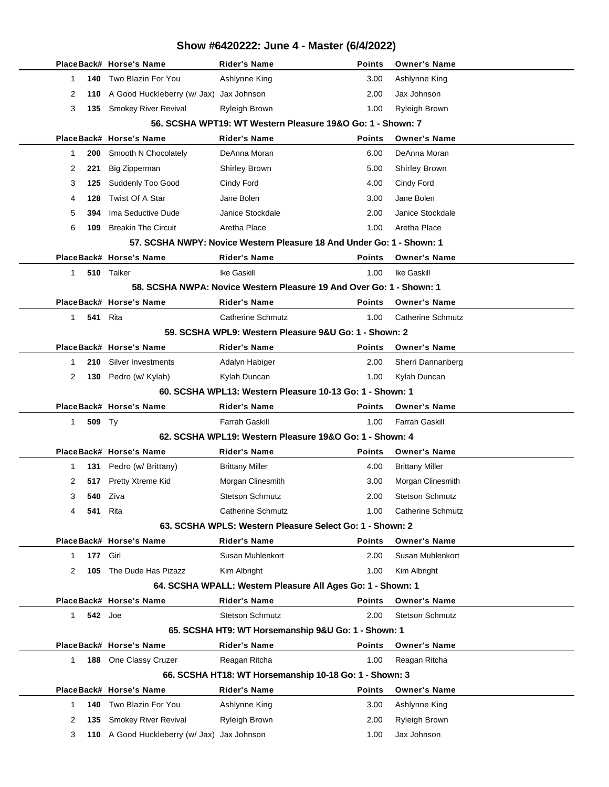|              |                | PlaceBack# Horse's Name                     | <b>Rider's Name</b>                                                   | <b>Points</b> | <b>Owner's Name</b>      |
|--------------|----------------|---------------------------------------------|-----------------------------------------------------------------------|---------------|--------------------------|
| 1            | 140            | Two Blazin For You                          | Ashlynne King                                                         | 3.00          | Ashlynne King            |
| 2            |                | 110 A Good Huckleberry (w/ Jax) Jax Johnson |                                                                       | 2.00          | Jax Johnson              |
| 3            |                | 135 Smokey River Revival                    | Ryleigh Brown                                                         | 1.00          | <b>Ryleigh Brown</b>     |
|              |                |                                             | 56. SCSHA WPT19: WT Western Pleasure 19&O Go: 1 - Shown: 7            |               |                          |
|              |                | PlaceBack# Horse's Name                     | Rider's Name                                                          | <b>Points</b> | <b>Owner's Name</b>      |
| $\mathbf{1}$ | 200            | Smooth N Chocolately                        | DeAnna Moran                                                          | 6.00          | DeAnna Moran             |
| 2            | 221            | <b>Big Zipperman</b>                        | <b>Shirley Brown</b>                                                  | 5.00          | <b>Shirley Brown</b>     |
| 3            | 125            | Suddenly Too Good                           | Cindy Ford                                                            | 4.00          | Cindy Ford               |
| 4            | 128            | Twist Of A Star                             | Jane Bolen                                                            | 3.00          | Jane Bolen               |
| 5            | 394            | Ima Seductive Dude                          | Janice Stockdale                                                      | 2.00          | Janice Stockdale         |
| 6            | 109            | <b>Breakin The Circuit</b>                  | Aretha Place                                                          | 1.00          | Aretha Place             |
|              |                |                                             | 57. SCSHA NWPY: Novice Western Pleasure 18 And Under Go: 1 - Shown: 1 |               |                          |
|              |                | PlaceBack# Horse's Name                     | <b>Rider's Name</b>                                                   | <b>Points</b> | <b>Owner's Name</b>      |
| 1            |                | 510 Talker                                  | <b>Ike Gaskill</b>                                                    | 1.00          | <b>Ike Gaskill</b>       |
|              |                |                                             | 58. SCSHA NWPA: Novice Western Pleasure 19 And Over Go: 1 - Shown: 1  |               |                          |
|              |                | PlaceBack# Horse's Name                     | <b>Rider's Name</b>                                                   | <b>Points</b> | <b>Owner's Name</b>      |
| 1            | 541            | Rita                                        | <b>Catherine Schmutz</b>                                              | 1.00          | <b>Catherine Schmutz</b> |
|              |                |                                             | 59. SCSHA WPL9: Western Pleasure 9&U Go: 1 - Shown: 2                 |               |                          |
|              |                | PlaceBack# Horse's Name                     | Rider's Name                                                          | <b>Points</b> | <b>Owner's Name</b>      |
| 1            | 210            | Silver Investments                          | Adalyn Habiger                                                        | 2.00          | Sherri Dannanberg        |
| 2            |                | 130 Pedro (w/ Kylah)                        | Kylah Duncan                                                          | 1.00          | Kylah Duncan             |
|              |                |                                             | 60. SCSHA WPL13: Western Pleasure 10-13 Go: 1 - Shown: 1              |               |                          |
|              |                |                                             |                                                                       |               |                          |
|              |                | PlaceBack# Horse's Name                     | <b>Rider's Name</b>                                                   | <b>Points</b> | <b>Owner's Name</b>      |
| 1            | 509 Ty         |                                             | <b>Farrah Gaskill</b>                                                 | 1.00          | <b>Farrah Gaskill</b>    |
|              |                |                                             | 62. SCSHA WPL19: Western Pleasure 19&O Go: 1 - Shown: 4               |               |                          |
|              |                | PlaceBack# Horse's Name                     | <b>Rider's Name</b>                                                   | <b>Points</b> | <b>Owner's Name</b>      |
| 1            | 131            | Pedro (w/ Brittany)                         | <b>Brittany Miller</b>                                                | 4.00          | <b>Brittany Miller</b>   |
| 2            | 517            | Pretty Xtreme Kid                           | Morgan Clinesmith                                                     | 3.00          | Morgan Clinesmith        |
| 3            | 540            | Ziva                                        | <b>Stetson Schmutz</b>                                                | 2.00          | <b>Stetson Schmutz</b>   |
| 4            | 541            | Rita                                        | <b>Catherine Schmutz</b>                                              | 1.00          | <b>Catherine Schmutz</b> |
|              |                |                                             | 63. SCSHA WPLS: Western Pleasure Select Go: 1 - Shown: 2              |               |                          |
|              |                | PlaceBack# Horse's Name                     | <b>Rider's Name</b>                                                   | <b>Points</b> | <b>Owner's Name</b>      |
| 1            | 177            | Girl                                        | Susan Muhlenkort                                                      | 2.00          | Susan Muhlenkort         |
| 2            | 105            | The Dude Has Pizazz                         | Kim Albright                                                          | 1.00          | Kim Albright             |
|              |                |                                             | 64. SCSHA WPALL: Western Pleasure All Ages Go: 1 - Shown: 1           |               |                          |
|              |                | PlaceBack# Horse's Name                     | <b>Rider's Name</b>                                                   | <b>Points</b> | <b>Owner's Name</b>      |
| 1            | <b>542</b> Joe |                                             | <b>Stetson Schmutz</b>                                                | 2.00          | <b>Stetson Schmutz</b>   |
|              |                |                                             | 65. SCSHA HT9: WT Horsemanship 9&U Go: 1 - Shown: 1                   |               |                          |
|              |                | PlaceBack# Horse's Name                     | <b>Rider's Name</b>                                                   | <b>Points</b> | <b>Owner's Name</b>      |
| 1            | 188            | One Classy Cruzer                           | Reagan Ritcha                                                         | 1.00          | Reagan Ritcha            |
|              |                |                                             | 66. SCSHA HT18: WT Horsemanship 10-18 Go: 1 - Shown: 3                |               |                          |
|              |                | PlaceBack# Horse's Name                     | <b>Rider's Name</b>                                                   | <b>Points</b> | <b>Owner's Name</b>      |
| 1            | 140            | Two Blazin For You                          | Ashlynne King                                                         | 3.00          | Ashlynne King            |
| 2            | 135            | Smokey River Revival                        | <b>Ryleigh Brown</b>                                                  | 2.00          | <b>Ryleigh Brown</b>     |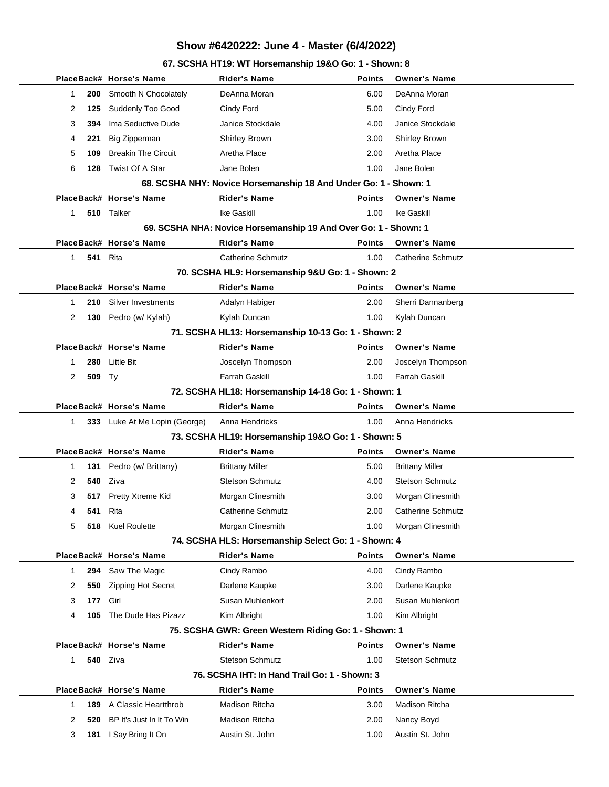#### **67. SCSHA HT19: WT Horsemanship 19&O Go: 1 - Shown: 8**

|                       | PlaceBack# Horse's Name          | <b>Rider's Name</b>                                              | <b>Points</b> | <b>Owner's Name</b>      |
|-----------------------|----------------------------------|------------------------------------------------------------------|---------------|--------------------------|
| 1<br>200              | Smooth N Chocolately             | DeAnna Moran                                                     | 6.00          | DeAnna Moran             |
| 2<br>125              | Suddenly Too Good                | Cindy Ford                                                       | 5.00          | Cindy Ford               |
| 3<br>394              | Ima Seductive Dude               | Janice Stockdale                                                 | 4.00          | Janice Stockdale         |
| 221<br>4              | <b>Big Zipperman</b>             | <b>Shirley Brown</b>                                             | 3.00          | <b>Shirley Brown</b>     |
| 5<br>109              | <b>Breakin The Circuit</b>       | Aretha Place                                                     | 2.00          | Aretha Place             |
| 6<br>128              | Twist Of A Star                  | Jane Bolen                                                       | 1.00          | Jane Bolen               |
|                       |                                  | 68. SCSHA NHY: Novice Horsemanship 18 And Under Go: 1 - Shown: 1 |               |                          |
|                       | PlaceBack# Horse's Name          | <b>Rider's Name</b>                                              | <b>Points</b> | <b>Owner's Name</b>      |
| 1                     | 510 Talker                       | Ike Gaskill                                                      | 1.00          | Ike Gaskill              |
|                       |                                  | 69. SCSHA NHA: Novice Horsemanship 19 And Over Go: 1 - Shown: 1  |               |                          |
|                       | PlaceBack# Horse's Name          | <b>Rider's Name</b>                                              | <b>Points</b> | <b>Owner's Name</b>      |
| $\mathbf{1}$          | 541<br>Rita                      | <b>Catherine Schmutz</b>                                         | 1.00          | <b>Catherine Schmutz</b> |
|                       |                                  | 70. SCSHA HL9: Horsemanship 9&U Go: 1 - Shown: 2                 |               |                          |
|                       | PlaceBack# Horse's Name          | <b>Rider's Name</b>                                              | <b>Points</b> | <b>Owner's Name</b>      |
| 210<br>1              | Silver Investments               | Adalyn Habiger                                                   | 2.00          | Sherri Dannanberg        |
| 130<br>2              | Pedro (w/ Kylah)                 | Kylah Duncan                                                     | 1.00          | Kylah Duncan             |
|                       |                                  | 71. SCSHA HL13: Horsemanship 10-13 Go: 1 - Shown: 2              |               |                          |
|                       | PlaceBack# Horse's Name          | <b>Rider's Name</b>                                              | <b>Points</b> | <b>Owner's Name</b>      |
| 280<br>1              | <b>Little Bit</b>                | Joscelyn Thompson                                                | 2.00          | Joscelyn Thompson        |
| $\overline{2}$<br>509 | Ty                               | Farrah Gaskill                                                   | 1.00          | <b>Farrah Gaskill</b>    |
|                       |                                  | 72. SCSHA HL18: Horsemanship 14-18 Go: 1 - Shown: 1              |               |                          |
|                       | PlaceBack# Horse's Name          | <b>Rider's Name</b>                                              | <b>Points</b> | <b>Owner's Name</b>      |
| 1                     | 333 Luke At Me Lopin (George)    | Anna Hendricks                                                   | 1.00          | Anna Hendricks           |
|                       |                                  | 73. SCSHA HL19: Horsemanship 19&O Go: 1 - Shown: 5               |               |                          |
|                       | PlaceBack# Horse's Name          | <b>Rider's Name</b>                                              | <b>Points</b> | <b>Owner's Name</b>      |
| 1<br>131              | Pedro (w/ Brittany)              | <b>Brittany Miller</b>                                           | 5.00          | <b>Brittany Miller</b>   |
| 2<br>540              | Ziva                             | <b>Stetson Schmutz</b>                                           | 4.00          | <b>Stetson Schmutz</b>   |
| 3                     | Pretty Xtreme Kid<br>517         | Morgan Clinesmith                                                | 3.00          | Morgan Clinesmith        |
| 541<br>4              | Rita                             | <b>Catherine Schmutz</b>                                         | 2.00          | <b>Catherine Schmutz</b> |
| 5                     | 518 Kuel Roulette                | Morgan Clinesmith                                                | 1.00          | Morgan Clinesmith        |
|                       |                                  | 74. SCSHA HLS: Horsemanship Select Go: 1 - Shown: 4              |               |                          |
|                       | PlaceBack# Horse's Name          | <b>Rider's Name</b>                                              | <b>Points</b> | <b>Owner's Name</b>      |
| 1<br>294              | Saw The Magic                    | Cindy Rambo                                                      | 4.00          | Cindy Rambo              |
| 2<br>550              | Zipping Hot Secret               | Darlene Kaupke                                                   | 3.00          | Darlene Kaupke           |
| 3<br>177              | Girl                             | Susan Muhlenkort                                                 | 2.00          | Susan Muhlenkort         |
| 4<br>105              | The Dude Has Pizazz              | Kim Albright                                                     | 1.00          | Kim Albright             |
|                       |                                  | 75. SCSHA GWR: Green Western Riding Go: 1 - Shown: 1             |               |                          |
|                       | PlaceBack# Horse's Name          | <b>Rider's Name</b>                                              | <b>Points</b> | <b>Owner's Name</b>      |
| 1                     | <b>540</b> Ziva                  | <b>Stetson Schmutz</b>                                           | 1.00          | <b>Stetson Schmutz</b>   |
|                       |                                  | 76. SCSHA IHT: In Hand Trail Go: 1 - Shown: 3                    |               |                          |
|                       | PlaceBack# Horse's Name          | <b>Rider's Name</b>                                              | <b>Points</b> | <b>Owner's Name</b>      |
| 189<br>1              | A Classic Heartthrob             | Madison Ritcha                                                   | 3.00          | Madison Ritcha           |
|                       |                                  |                                                                  |               |                          |
| 2                     | BP It's Just In It To Win<br>520 | Madison Ritcha                                                   | 2.00          | Nancy Boyd               |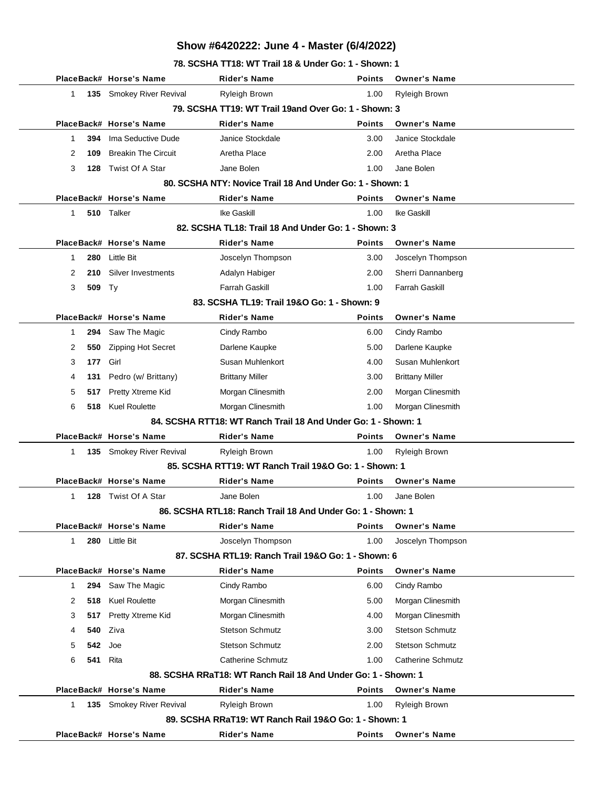**78. SCSHA TT18: WT Trail 18 & Under Go: 1 - Shown: 1**

|                                                           |        | PlaceBack# Horse's Name    | Rider's Name                                                  | Points        | <b>Owner's Name</b>      |  |  |
|-----------------------------------------------------------|--------|----------------------------|---------------------------------------------------------------|---------------|--------------------------|--|--|
| 1                                                         |        | 135 Smokey River Revival   | Ryleigh Brown                                                 | 1.00          | Ryleigh Brown            |  |  |
|                                                           |        |                            | 79. SCSHA TT19: WT Trail 19and Over Go: 1 - Shown: 3          |               |                          |  |  |
|                                                           |        | PlaceBack# Horse's Name    | <b>Rider's Name</b>                                           | <b>Points</b> | <b>Owner's Name</b>      |  |  |
| 1                                                         | 394    | Ima Seductive Dude         | Janice Stockdale                                              | 3.00          | Janice Stockdale         |  |  |
| 2                                                         | 109    | <b>Breakin The Circuit</b> | Aretha Place                                                  | 2.00          | Aretha Place             |  |  |
| 3                                                         | 128    | Twist Of A Star            | Jane Bolen                                                    | 1.00          | Jane Bolen               |  |  |
| 80. SCSHA NTY: Novice Trail 18 And Under Go: 1 - Shown: 1 |        |                            |                                                               |               |                          |  |  |
|                                                           |        | PlaceBack# Horse's Name    | Rider's Name                                                  | <b>Points</b> | <b>Owner's Name</b>      |  |  |
| $\mathbf{1}$                                              |        | 510 Talker                 | Ike Gaskill                                                   | 1.00          | Ike Gaskill              |  |  |
| 82. SCSHA TL18: Trail 18 And Under Go: 1 - Shown: 3       |        |                            |                                                               |               |                          |  |  |
|                                                           |        | PlaceBack# Horse's Name    | Rider's Name                                                  | Points        | <b>Owner's Name</b>      |  |  |
| 1                                                         | 280    | <b>Little Bit</b>          | Joscelyn Thompson                                             | 3.00          | Joscelyn Thompson        |  |  |
| 2                                                         | 210    | Silver Investments         | Adalyn Habiger                                                | 2.00          | Sherri Dannanberg        |  |  |
| 3                                                         | 509 Ty |                            | <b>Farrah Gaskill</b>                                         | 1.00          | <b>Farrah Gaskill</b>    |  |  |
|                                                           |        |                            | 83. SCSHA TL19: Trail 19&O Go: 1 - Shown: 9                   |               |                          |  |  |
|                                                           |        | PlaceBack# Horse's Name    | Rider's Name                                                  | <b>Points</b> | <b>Owner's Name</b>      |  |  |
| 1                                                         | 294    | Saw The Magic              | Cindy Rambo                                                   | 6.00          | Cindy Rambo              |  |  |
| 2                                                         | 550    | <b>Zipping Hot Secret</b>  | Darlene Kaupke                                                | 5.00          | Darlene Kaupke           |  |  |
| 3                                                         | 177    | Girl                       | Susan Muhlenkort                                              | 4.00          | Susan Muhlenkort         |  |  |
| 4                                                         | 131    | Pedro (w/ Brittany)        | <b>Brittany Miller</b>                                        | 3.00          | <b>Brittany Miller</b>   |  |  |
| 5                                                         | 517    | Pretty Xtreme Kid          | Morgan Clinesmith                                             | 2.00          | Morgan Clinesmith        |  |  |
| 6                                                         | 518    | <b>Kuel Roulette</b>       | Morgan Clinesmith                                             | 1.00          | Morgan Clinesmith        |  |  |
|                                                           |        |                            | 84. SCSHA RTT18: WT Ranch Trail 18 And Under Go: 1 - Shown: 1 |               |                          |  |  |
|                                                           |        | PlaceBack# Horse's Name    | <b>Rider's Name</b>                                           | <b>Points</b> | <b>Owner's Name</b>      |  |  |
| 1                                                         |        | 135 Smokey River Revival   | Ryleigh Brown                                                 | 1.00          | <b>Ryleigh Brown</b>     |  |  |
|                                                           |        |                            | 85. SCSHA RTT19: WT Ranch Trail 19&O Go: 1 - Shown: 1         |               |                          |  |  |
|                                                           |        | PlaceBack# Horse's Name    | <b>Rider's Name</b>                                           | Points        | <b>Owner's Name</b>      |  |  |
| 1                                                         | 128    | Twist Of A Star            | Jane Bolen                                                    | 1.00          | Jane Bolen               |  |  |
|                                                           |        |                            | 86. SCSHA RTL18: Ranch Trail 18 And Under Go: 1 - Shown: 1    |               |                          |  |  |
|                                                           |        | PlaceBack# Horse's Name    | <b>Rider's Name</b>                                           | <b>Points</b> | <b>Owner's Name</b>      |  |  |
| 1                                                         | 280    | <b>Little Bit</b>          | Joscelyn Thompson                                             | 1.00          | Joscelyn Thompson        |  |  |
|                                                           |        |                            | 87. SCSHA RTL19: Ranch Trail 19&O Go: 1 - Shown: 6            |               |                          |  |  |
|                                                           |        | PlaceBack# Horse's Name    | <b>Rider's Name</b>                                           | Points        | <b>Owner's Name</b>      |  |  |
| $\mathbf{1}$                                              | 294    | Saw The Magic              | Cindy Rambo                                                   | 6.00          | Cindy Rambo              |  |  |
| 2                                                         | 518    | <b>Kuel Roulette</b>       | Morgan Clinesmith                                             | 5.00          | Morgan Clinesmith        |  |  |
| 3                                                         | 517    | Pretty Xtreme Kid          | Morgan Clinesmith                                             | 4.00          | Morgan Clinesmith        |  |  |
| 4                                                         | 540    | Ziva                       | <b>Stetson Schmutz</b>                                        | 3.00          | <b>Stetson Schmutz</b>   |  |  |
| 5                                                         | 542    | Joe                        | <b>Stetson Schmutz</b>                                        | 2.00          | <b>Stetson Schmutz</b>   |  |  |
| 6                                                         | 541    | Rita                       | <b>Catherine Schmutz</b>                                      | 1.00          | <b>Catherine Schmutz</b> |  |  |
|                                                           |        |                            | 88. SCSHA RRaT18: WT Ranch Rail 18 And Under Go: 1 - Shown: 1 |               |                          |  |  |
|                                                           |        | PlaceBack# Horse's Name    | <b>Rider's Name</b>                                           | Points        | <b>Owner's Name</b>      |  |  |
| $\mathbf{1}$                                              |        | 135 Smokey River Revival   | Ryleigh Brown                                                 | 1.00          | Ryleigh Brown            |  |  |
|                                                           |        |                            | 89. SCSHA RRaT19: WT Ranch Rail 19&O Go: 1 - Shown: 1         |               |                          |  |  |
|                                                           |        | PlaceBack# Horse's Name    | <b>Rider's Name</b>                                           | <b>Points</b> | <b>Owner's Name</b>      |  |  |